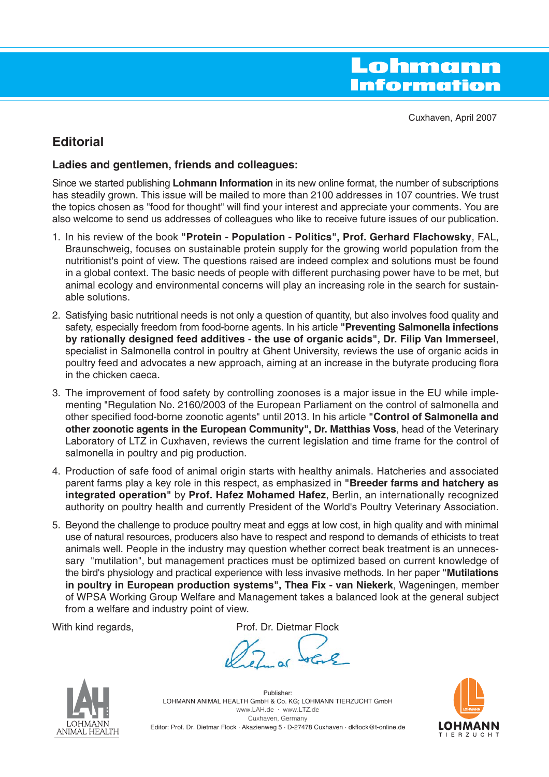Cuxhaven, April 2007

# **Editorial**

## **Ladies and gentlemen, friends and colleagues:**

Since we started publishing **Lohmann Information** in its new online format, the number of subscriptions has steadily grown. This issue will be mailed to more than 2100 addresses in 107 countries. We trust the topics chosen as "food for thought" will find your interest and appreciate your comments. You are also welcome to send us addresses of colleagues who like to receive future issues of our publication.

- 1. In his review of the book **"Protein Population Politics", Prof. Gerhard Flachowsky**, FAL, Braunschweig, focuses on sustainable protein supply for the growing world population from the nutritionist's point of view. The questions raised are indeed complex and solutions must be found in a global context. The basic needs of people with different purchasing power have to be met, but animal ecology and environmental concerns will play an increasing role in the search for sustainable solutions.
- 2. Satisfying basic nutritional needs is not only a question of quantity, but also involves food quality and safety, especially freedom from food-borne agents. In his article **"Preventing Salmonella infections by rationally designed feed additives - the use of organic acids", Dr. Filip Van Immerseel**, specialist in Salmonella control in poultry at Ghent University, reviews the use of organic acids in poultry feed and advocates a new approach, aiming at an increase in the butyrate producing flora in the chicken caeca.
- 3. The improvement of food safety by controlling zoonoses is a major issue in the EU while implementing "Regulation No. 2160/2003 of the European Parliament on the control of salmonella and other specified food-borne zoonotic agents" until 2013. In his article **"Control of Salmonella and other zoonotic agents in the European Community", Dr. Matthias Voss**, head of the Veterinary Laboratory of LTZ in Cuxhaven, reviews the current legislation and time frame for the control of salmonella in poultry and pig production.
- 4. Production of safe food of animal origin starts with healthy animals. Hatcheries and associated parent farms play a key role in this respect, as emphasized in **"Breeder farms and hatchery as integrated operation"** by **Prof. Hafez Mohamed Hafez**, Berlin, an internationally recognized authority on poultry health and currently President of the World's Poultry Veterinary Association.
- 5. Beyond the challenge to produce poultry meat and eggs at low cost, in high quality and with minimal use of natural resources, producers also have to respect and respond to demands of ethicists to treat animals well. People in the industry may question whether correct beak treatment is an unnecessary "mutilation", but management practices must be optimized based on current knowledge of the bird's physiology and practical experience with less invasive methods. In her paper **"Mutilations in poultry in European production systems", Thea Fix - van Niekerk**, Wageningen, member of WPSA Working Group Welfare and Management takes a balanced look at the general subject from a welfare and industry point of view.

With kind regards, The Manuel Controllery Prof. Dr. Dietmar Flock



Publisher: LOHMANN ANIMAL HEALTH GmbH & Co. KG; LOHMANN TIERZUCHT GmbH www.LAH.de · www.LTZ.de Cuxhaven, Germany Editor: Prof. Dr. Dietmar Flock · Akazienweg 5 · D-27478 Cuxhaven · dkflock@t-online.de

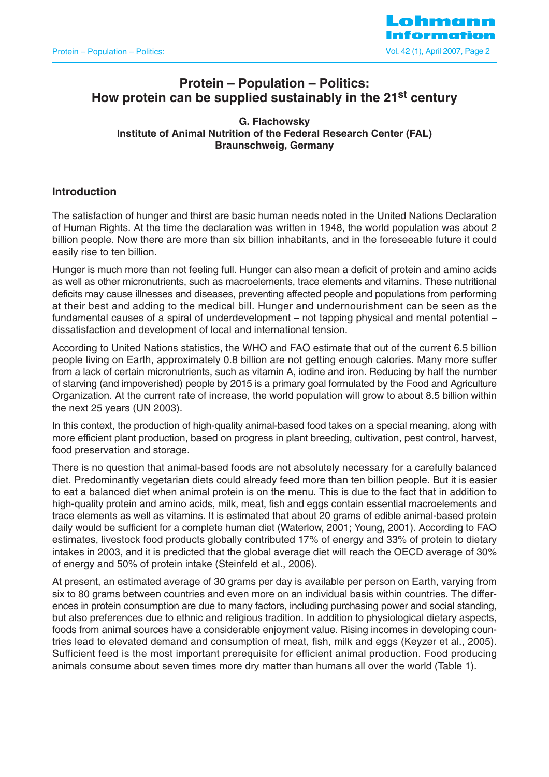

# **Protein – Population – Politics: How protein can be supplied sustainably in the 21st century**

**G. Flachowsky Institute of Animal Nutrition of the Federal Research Center (FAL) Braunschweig, Germany**

### **Introduction**

The satisfaction of hunger and thirst are basic human needs noted in the United Nations Declaration of Human Rights. At the time the declaration was written in 1948, the world population was about 2 billion people. Now there are more than six billion inhabitants, and in the foreseeable future it could easily rise to ten billion.

Hunger is much more than not feeling full. Hunger can also mean a deficit of protein and amino acids as well as other micronutrients, such as macroelements, trace elements and vitamins. These nutritional deficits may cause illnesses and diseases, preventing affected people and populations from performing at their best and adding to the medical bill. Hunger and undernourishment can be seen as the fundamental causes of a spiral of underdevelopment – not tapping physical and mental potential – dissatisfaction and development of local and international tension.

According to United Nations statistics, the WHO and FAO estimate that out of the current 6.5 billion people living on Earth, approximately 0.8 billion are not getting enough calories. Many more suffer from a lack of certain micronutrients, such as vitamin A, iodine and iron. Reducing by half the number of starving (and impoverished) people by 2015 is a primary goal formulated by the Food and Agriculture Organization. At the current rate of increase, the world population will grow to about 8.5 billion within the next 25 years (UN 2003).

In this context, the production of high-quality animal-based food takes on a special meaning, along with more efficient plant production, based on progress in plant breeding, cultivation, pest control, harvest, food preservation and storage.

There is no question that animal-based foods are not absolutely necessary for a carefully balanced diet. Predominantly vegetarian diets could already feed more than ten billion people. But it is easier to eat a balanced diet when animal protein is on the menu. This is due to the fact that in addition to high-quality protein and amino acids, milk, meat, fish and eggs contain essential macroelements and trace elements as well as vitamins. It is estimated that about 20 grams of edible animal-based protein daily would be sufficient for a complete human diet (Waterlow, 2001; Young, 2001). According to FAO estimates, livestock food products globally contributed 17% of energy and 33% of protein to dietary intakes in 2003, and it is predicted that the global average diet will reach the OECD average of 30% of energy and 50% of protein intake (Steinfeld et al., 2006).

At present, an estimated average of 30 grams per day is available per person on Earth, varying from six to 80 grams between countries and even more on an individual basis within countries. The differences in protein consumption are due to many factors, including purchasing power and social standing, but also preferences due to ethnic and religious tradition. In addition to physiological dietary aspects, foods from animal sources have a considerable enjoyment value. Rising incomes in developing countries lead to elevated demand and consumption of meat, fish, milk and eggs (Keyzer et al., 2005). Sufficient feed is the most important prerequisite for efficient animal production. Food producing animals consume about seven times more dry matter than humans all over the world (Table 1).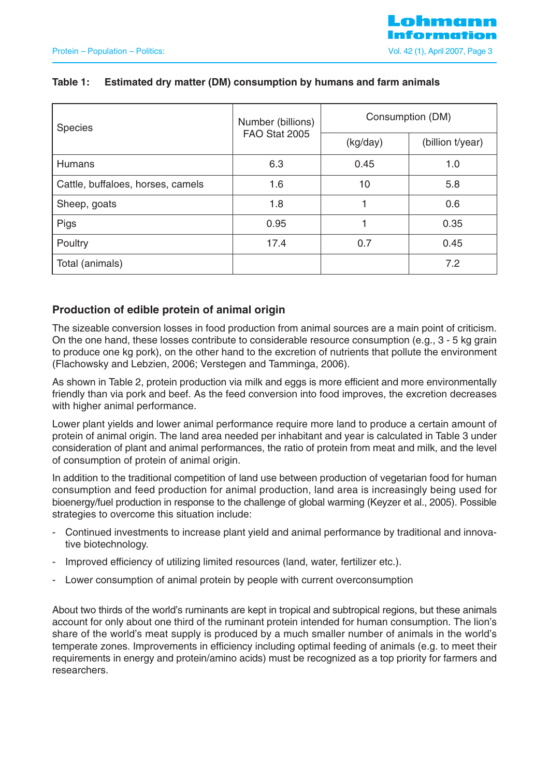| <b>Species</b>                    | Number (billions) | Consumption (DM) |                  |  |
|-----------------------------------|-------------------|------------------|------------------|--|
|                                   | FAO Stat 2005     | (kg/day)         | (billion t/year) |  |
| Humans                            | 6.3               | 0.45             | 1.0              |  |
| Cattle, buffaloes, horses, camels | 1.6               | 10               | 5.8              |  |
| Sheep, goats                      | 1.8               |                  | 0.6              |  |
| Pigs                              | 0.95              |                  | 0.35             |  |
| Poultry                           | 17.4              | 0.7              | 0.45             |  |
| Total (animals)                   |                   |                  | 7.2              |  |

## **Table 1: Estimated dry matter (DM) consumption by humans and farm animals**

## **Production of edible protein of animal origin**

The sizeable conversion losses in food production from animal sources are a main point of criticism. On the one hand, these losses contribute to considerable resource consumption (e.g., 3 - 5 kg grain to produce one kg pork), on the other hand to the excretion of nutrients that pollute the environment (Flachowsky and Lebzien, 2006; Verstegen and Tamminga, 2006).

As shown in Table 2, protein production via milk and eggs is more efficient and more environmentally friendly than via pork and beef. As the feed conversion into food improves, the excretion decreases with higher animal performance.

Lower plant yields and lower animal performance require more land to produce a certain amount of protein of animal origin. The land area needed per inhabitant and year is calculated in Table 3 under consideration of plant and animal performances, the ratio of protein from meat and milk, and the level of consumption of protein of animal origin.

In addition to the traditional competition of land use between production of vegetarian food for human consumption and feed production for animal production, land area is increasingly being used for bioenergy/fuel production in response to the challenge of global warming (Keyzer et al., 2005). Possible strategies to overcome this situation include:

- Continued investments to increase plant yield and animal performance by traditional and innovative biotechnology.
- Improved efficiency of utilizing limited resources (land, water, fertilizer etc.).
- Lower consumption of animal protein by people with current overconsumption

About two thirds of the world's ruminants are kept in tropical and subtropical regions, but these animals account for only about one third of the ruminant protein intended for human consumption. The lion's share of the world's meat supply is produced by a much smaller number of animals in the world's temperate zones. Improvements in efficiency including optimal feeding of animals (e.g. to meet their requirements in energy and protein/amino acids) must be recognized as a top priority for farmers and researchers.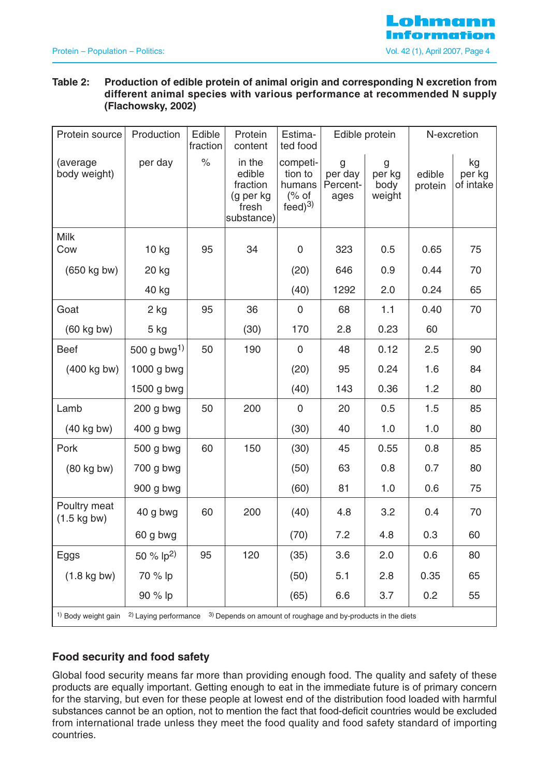# Lohmann Information Protein – Population – Politics: Vol. 42 (1), April 2007, Page 4

## **Table 2: Production of edible protein of animal origin and corresponding N excretion from different animal species with various performance at recommended N supply (Flachowsky, 2002)**

| Protein source                                                                                                                     | Production              | Edible<br>fraction | Protein<br>content                                               | Estima-<br>ted food                                   | Edible protein                   |                               | N-excretion       |                           |
|------------------------------------------------------------------------------------------------------------------------------------|-------------------------|--------------------|------------------------------------------------------------------|-------------------------------------------------------|----------------------------------|-------------------------------|-------------------|---------------------------|
| (average<br>body weight)                                                                                                           | per day                 | $\%$               | in the<br>edible<br>fraction<br>(g per kg<br>fresh<br>substance) | competi-<br>tion to<br>humans<br>% of<br>$feed)^{3)}$ | g<br>per day<br>Percent-<br>ages | g<br>per kg<br>body<br>weight | edible<br>protein | kg<br>per kg<br>of intake |
| <b>Milk</b><br>Cow                                                                                                                 | 10 kg                   | 95                 | 34                                                               | $\mathbf 0$                                           | 323                              | 0.5                           | 0.65              | 75                        |
| (650 kg bw)                                                                                                                        | 20 kg                   |                    |                                                                  | (20)                                                  | 646                              | 0.9                           | 0.44              | 70                        |
|                                                                                                                                    | 40 kg                   |                    |                                                                  | (40)                                                  | 1292                             | 2.0                           | 0.24              | 65                        |
| Goat                                                                                                                               | 2 kg                    | 95                 | 36                                                               | $\mathsf{O}\xspace$                                   | 68                               | 1.1                           | 0.40              | 70                        |
| $(60 \text{ kg}$ bw)                                                                                                               | 5 kg                    |                    | (30)                                                             | 170                                                   | 2.8                              | 0.23                          | 60                |                           |
| <b>Beef</b>                                                                                                                        | 500 g bwg <sup>1)</sup> | 50                 | 190                                                              | $\mathbf 0$                                           | 48                               | 0.12                          | 2.5               | 90                        |
| (400 kg bw)                                                                                                                        | $1000$ g bwg            |                    |                                                                  | (20)                                                  | 95                               | 0.24                          | 1.6               | 84                        |
|                                                                                                                                    | 1500 g bwg              |                    |                                                                  | (40)                                                  | 143                              | 0.36                          | 1.2               | 80                        |
| Lamb                                                                                                                               | $200$ g bwg             | 50                 | 200                                                              | $\mathbf 0$                                           | 20                               | 0.5                           | 1.5               | 85                        |
| $(40 \text{ kg}$ bw)                                                                                                               | 400 g bwg               |                    |                                                                  | (30)                                                  | 40                               | 1.0                           | 1.0               | 80                        |
| Pork                                                                                                                               | 500 g bwg               | 60                 | 150                                                              | (30)                                                  | 45                               | 0.55                          | 0.8               | 85                        |
| $(80 \text{ kg}$ bw)                                                                                                               | 700 g bwg               |                    |                                                                  | (50)                                                  | 63                               | 0.8                           | 0.7               | 80                        |
|                                                                                                                                    | 900 g bwg               |                    |                                                                  | (60)                                                  | 81                               | 1.0                           | 0.6               | 75                        |
| Poultry meat<br>$(1.5 \text{ kg bw})$                                                                                              | 40 g bwg                | 60                 | 200                                                              | (40)                                                  | 4.8                              | 3.2                           | 0.4               | 70                        |
|                                                                                                                                    | 60 g bwg                |                    |                                                                  | (70)                                                  | 7.2                              | 4.8                           | 0.3               | 60                        |
| Eggs                                                                                                                               | 50 % $ p^2\rangle$      | 95                 | 120                                                              | (35)                                                  | 3.6                              | 2.0                           | 0.6               | 80                        |
| $(1.8 \text{ kg}$ bw)                                                                                                              | 70 % lp                 |                    |                                                                  | (50)                                                  | 5.1                              | 2.8                           | 0.35              | 65                        |
|                                                                                                                                    | 90 % lp                 |                    |                                                                  | (65)                                                  | 6.6                              | 3.7                           | 0.2               | 55                        |
| <sup>1)</sup> Body weight gain<br><sup>2)</sup> Laying performance $3)$ Depends on amount of roughage and by-products in the diets |                         |                    |                                                                  |                                                       |                                  |                               |                   |                           |

## **Food security and food safety**

Global food security means far more than providing enough food. The quality and safety of these products are equally important. Getting enough to eat in the immediate future is of primary concern for the starving, but even for these people at lowest end of the distribution food loaded with harmful substances cannot be an option, not to mention the fact that food-deficit countries would be excluded from international trade unless they meet the food quality and food safety standard of importing countries.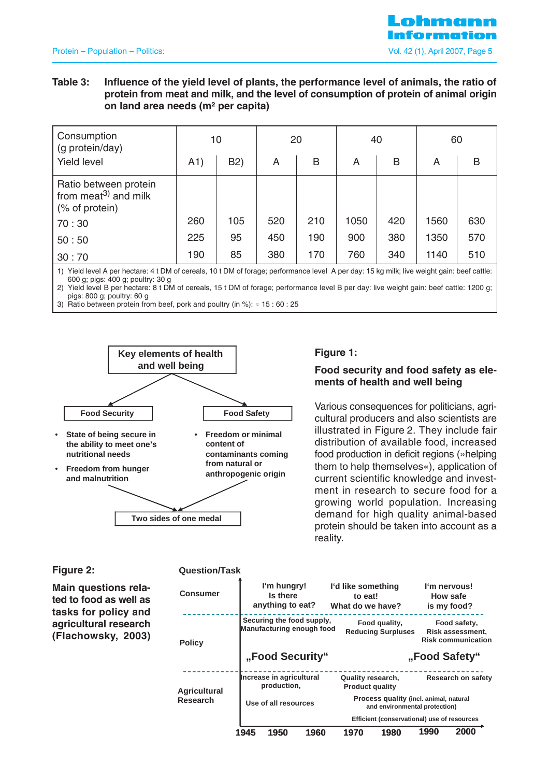#### **Table 3: Influence of the yield level of plants, the performance level of animals, the ratio of protein from meat and milk, and the level of consumption of protein of animal origin on land area needs (m² per capita)**

| Consumption<br>(g protein/day)                                              |     | 10               | 20  |     |      | 40  |      | 60  |
|-----------------------------------------------------------------------------|-----|------------------|-----|-----|------|-----|------|-----|
| <b>Yield level</b>                                                          | A1) | B <sub>2</sub> ) | A   | B   | A    | B   | A    | B   |
| Ratio between protein<br>from meat <sup>3)</sup> and milk<br>(% of protein) |     |                  |     |     |      |     |      |     |
| 70:30                                                                       | 260 | 105              | 520 | 210 | 1050 | 420 | 1560 | 630 |
| 50:50                                                                       | 225 | 95               | 450 | 190 | 900  | 380 | 1350 | 570 |
| 30:70                                                                       | 190 | 85               | 380 | 170 | 760  | 340 | 1140 | 510 |

1) Yield level A per hectare: 4 t DM of cereals, 10 t DM of forage; performance level A per day: 15 kg milk; live weight gain: beef cattle: 600 g; pigs: 400 g; poultry: 30 g

2) Yield level B per hectare: 8 t DM of cereals, 15 t DM of forage; performance level B per day: live weight gain: beef cattle: 1200 g; pigs: 800 g; poultry: 60 g

3) Ratio between protein from beef, pork and poultry (in %):  $\approx$  15 : 60 : 25



#### **Figure 1:**

#### **Food security and food safety as elements of health and well being**

Various consequences for politicians, agricultural producers and also scientists are illustrated in Figure 2. They include fair distribution of available food, increased food production in deficit regions (»helping them to help themselves«), application of current scientific knowledge and investment in research to secure food for a growing world population. Increasing demand for high quality animal-based protein should be taken into account as a reality.

#### **Figure 2:**

**Main questions related to food as well as tasks for policy and agricultural research (Flachowsky, 2003)**

#### **Question/Task**

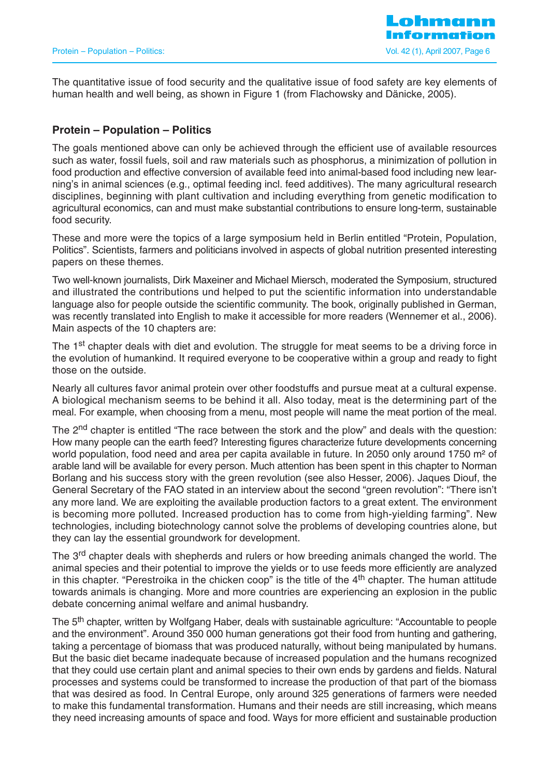The quantitative issue of food security and the qualitative issue of food safety are key elements of human health and well being, as shown in Figure 1 (from Flachowsky and Dänicke, 2005).

## **Protein – Population – Politics**

The goals mentioned above can only be achieved through the efficient use of available resources such as water, fossil fuels, soil and raw materials such as phosphorus, a minimization of pollution in food production and effective conversion of available feed into animal-based food including new learning's in animal sciences (e.g., optimal feeding incl. feed additives). The many agricultural research disciplines, beginning with plant cultivation and including everything from genetic modification to agricultural economics, can and must make substantial contributions to ensure long-term, sustainable food security.

These and more were the topics of a large symposium held in Berlin entitled "Protein, Population, Politics". Scientists, farmers and politicians involved in aspects of global nutrition presented interesting papers on these themes.

Two well-known journalists, Dirk Maxeiner and Michael Miersch, moderated the Symposium, structured and illustrated the contributions und helped to put the scientific information into understandable language also for people outside the scientific community. The book, originally published in German, was recently translated into English to make it accessible for more readers (Wennemer et al., 2006). Main aspects of the 10 chapters are:

The 1<sup>st</sup> chapter deals with diet and evolution. The struggle for meat seems to be a driving force in the evolution of humankind. It required everyone to be cooperative within a group and ready to fight those on the outside.

Nearly all cultures favor animal protein over other foodstuffs and pursue meat at a cultural expense. A biological mechanism seems to be behind it all. Also today, meat is the determining part of the meal. For example, when choosing from a menu, most people will name the meat portion of the meal.

The 2<sup>nd</sup> chapter is entitled "The race between the stork and the plow" and deals with the question: How many people can the earth feed? Interesting figures characterize future developments concerning world population, food need and area per capita available in future. In 2050 only around 1750 m<sup>2</sup> of arable land will be available for every person. Much attention has been spent in this chapter to Norman Borlang and his success story with the green revolution (see also Hesser, 2006). Jaques Diouf, the General Secretary of the FAO stated in an interview about the second "green revolution": "There isn't any more land. We are exploiting the available production factors to a great extent. The environment is becoming more polluted. Increased production has to come from high-yielding farming". New technologies, including biotechnology cannot solve the problems of developing countries alone, but they can lay the essential groundwork for development.

The 3<sup>rd</sup> chapter deals with shepherds and rulers or how breeding animals changed the world. The animal species and their potential to improve the yields or to use feeds more efficiently are analyzed in this chapter. "Perestroika in the chicken coop" is the title of the  $4<sup>th</sup>$  chapter. The human attitude towards animals is changing. More and more countries are experiencing an explosion in the public debate concerning animal welfare and animal husbandry.

The 5<sup>th</sup> chapter, written by Wolfgang Haber, deals with sustainable agriculture: "Accountable to people and the environment". Around 350 000 human generations got their food from hunting and gathering, taking a percentage of biomass that was produced naturally, without being manipulated by humans. But the basic diet became inadequate because of increased population and the humans recognized that they could use certain plant and animal species to their own ends by gardens and fields. Natural processes and systems could be transformed to increase the production of that part of the biomass that was desired as food. In Central Europe, only around 325 generations of farmers were needed to make this fundamental transformation. Humans and their needs are still increasing, which means they need increasing amounts of space and food. Ways for more efficient and sustainable production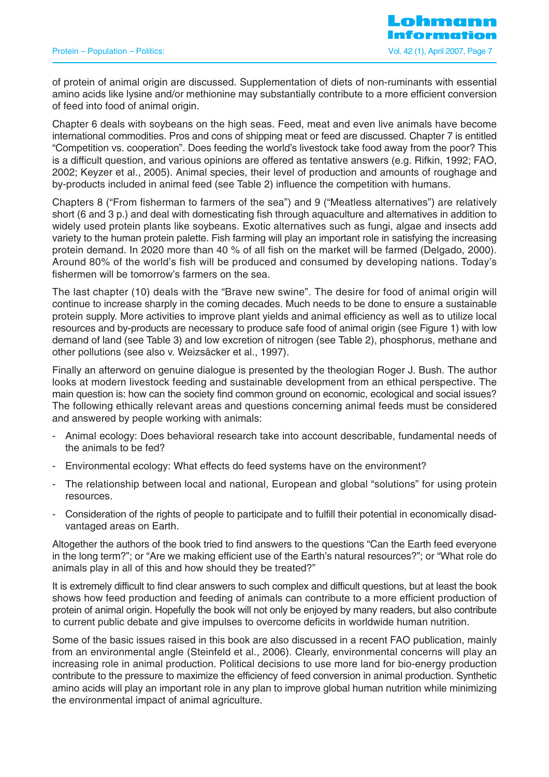of protein of animal origin are discussed. Supplementation of diets of non-ruminants with essential amino acids like lysine and/or methionine may substantially contribute to a more efficient conversion of feed into food of animal origin.

Chapter 6 deals with soybeans on the high seas. Feed, meat and even live animals have become international commodities. Pros and cons of shipping meat or feed are discussed. Chapter 7 is entitled "Competition vs. cooperation". Does feeding the world's livestock take food away from the poor? This is a difficult question, and various opinions are offered as tentative answers (e.g. Rifkin, 1992; FAO, 2002; Keyzer et al., 2005). Animal species, their level of production and amounts of roughage and by-products included in animal feed (see Table 2) influence the competition with humans.

Chapters 8 ("From fisherman to farmers of the sea") and 9 ("Meatless alternatives") are relatively short (6 and 3 p.) and deal with domesticating fish through aquaculture and alternatives in addition to widely used protein plants like soybeans. Exotic alternatives such as fungi, algae and insects add variety to the human protein palette. Fish farming will play an important role in satisfying the increasing protein demand. In 2020 more than 40 % of all fish on the market will be farmed (Delgado, 2000). Around 80% of the world's fish will be produced and consumed by developing nations. Today's fishermen will be tomorrow's farmers on the sea.

The last chapter (10) deals with the "Brave new swine". The desire for food of animal origin will continue to increase sharply in the coming decades. Much needs to be done to ensure a sustainable protein supply. More activities to improve plant yields and animal efficiency as well as to utilize local resources and by-products are necessary to produce safe food of animal origin (see Figure 1) with low demand of land (see Table 3) and low excretion of nitrogen (see Table 2), phosphorus, methane and other pollutions (see also v. Weizsäcker et al., 1997).

Finally an afterword on genuine dialogue is presented by the theologian Roger J. Bush. The author looks at modern livestock feeding and sustainable development from an ethical perspective. The main question is: how can the society find common ground on economic, ecological and social issues? The following ethically relevant areas and questions concerning animal feeds must be considered and answered by people working with animals:

- Animal ecology: Does behavioral research take into account describable, fundamental needs of the animals to be fed?
- Environmental ecology: What effects do feed systems have on the environment?
- The relationship between local and national, European and global "solutions" for using protein resources.
- Consideration of the rights of people to participate and to fulfill their potential in economically disadvantaged areas on Earth.

Altogether the authors of the book tried to find answers to the questions "Can the Earth feed everyone in the long term?"; or "Are we making efficient use of the Earth's natural resources?"; or "What role do animals play in all of this and how should they be treated?"

It is extremely difficult to find clear answers to such complex and difficult questions, but at least the book shows how feed production and feeding of animals can contribute to a more efficient production of protein of animal origin. Hopefully the book will not only be enjoyed by many readers, but also contribute to current public debate and give impulses to overcome deficits in worldwide human nutrition.

Some of the basic issues raised in this book are also discussed in a recent FAO publication, mainly from an environmental angle (Steinfeld et al., 2006). Clearly, environmental concerns will play an increasing role in animal production. Political decisions to use more land for bio-energy production contribute to the pressure to maximize the efficiency of feed conversion in animal production. Synthetic amino acids will play an important role in any plan to improve global human nutrition while minimizing the environmental impact of animal agriculture.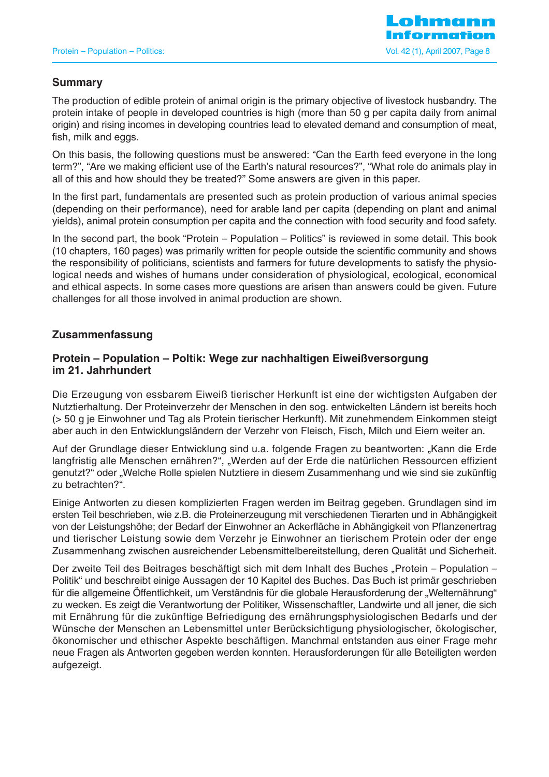## **Summary**

The production of edible protein of animal origin is the primary objective of livestock husbandry. The protein intake of people in developed countries is high (more than 50 g per capita daily from animal origin) and rising incomes in developing countries lead to elevated demand and consumption of meat, fish, milk and eggs.

On this basis, the following questions must be answered: "Can the Earth feed everyone in the long term?", "Are we making efficient use of the Earth's natural resources?", "What role do animals play in all of this and how should they be treated?" Some answers are given in this paper.

In the first part, fundamentals are presented such as protein production of various animal species (depending on their performance), need for arable land per capita (depending on plant and animal yields), animal protein consumption per capita and the connection with food security and food safety.

In the second part, the book "Protein – Population – Politics" is reviewed in some detail. This book (10 chapters, 160 pages) was primarily written for people outside the scientific community and shows the responsibility of politicians, scientists and farmers for future developments to satisfy the physiological needs and wishes of humans under consideration of physiological, ecological, economical and ethical aspects. In some cases more questions are arisen than answers could be given. Future challenges for all those involved in animal production are shown.

## **Zusammenfassung**

### **Protein – Population – Poltik: Wege zur nachhaltigen Eiweißversorgung im 21. Jahrhundert**

Die Erzeugung von essbarem Eiweiß tierischer Herkunft ist eine der wichtigsten Aufgaben der Nutztierhaltung. Der Proteinverzehr der Menschen in den sog. entwickelten Ländern ist bereits hoch (> 50 g je Einwohner und Tag als Protein tierischer Herkunft). Mit zunehmendem Einkommen steigt aber auch in den Entwicklungsländern der Verzehr von Fleisch, Fisch, Milch und Eiern weiter an.

Auf der Grundlage dieser Entwicklung sind u.a. folgende Fragen zu beantworten: "Kann die Erde langfristig alle Menschen ernähren?", "Werden auf der Erde die natürlichen Ressourcen effizient genutzt?" oder "Welche Rolle spielen Nutztiere in diesem Zusammenhang und wie sind sie zukünftig zu betrachten?".

Einige Antworten zu diesen komplizierten Fragen werden im Beitrag gegeben. Grundlagen sind im ersten Teil beschrieben, wie z.B. die Proteinerzeugung mit verschiedenen Tierarten und in Abhängigkeit von der Leistungshöhe; der Bedarf der Einwohner an Ackerfläche in Abhängigkeit von Pflanzenertrag und tierischer Leistung sowie dem Verzehr je Einwohner an tierischem Protein oder der enge Zusammenhang zwischen ausreichender Lebensmittelbereitstellung, deren Qualität und Sicherheit.

Der zweite Teil des Beitrages beschäftigt sich mit dem Inhalt des Buches "Protein – Population – Politik" und beschreibt einige Aussagen der 10 Kapitel des Buches. Das Buch ist primär geschrieben für die allgemeine Öffentlichkeit, um Verständnis für die globale Herausforderung der "Welternährung" zu wecken. Es zeigt die Verantwortung der Politiker, Wissenschaftler, Landwirte und all jener, die sich mit Ernährung für die zukünftige Befriedigung des ernährungsphysiologischen Bedarfs und der Wünsche der Menschen an Lebensmittel unter Berücksichtigung physiologischer, ökologischer, ökonomischer und ethischer Aspekte beschäftigen. Manchmal entstanden aus einer Frage mehr neue Fragen als Antworten gegeben werden konnten. Herausforderungen für alle Beteiligten werden aufgezeigt.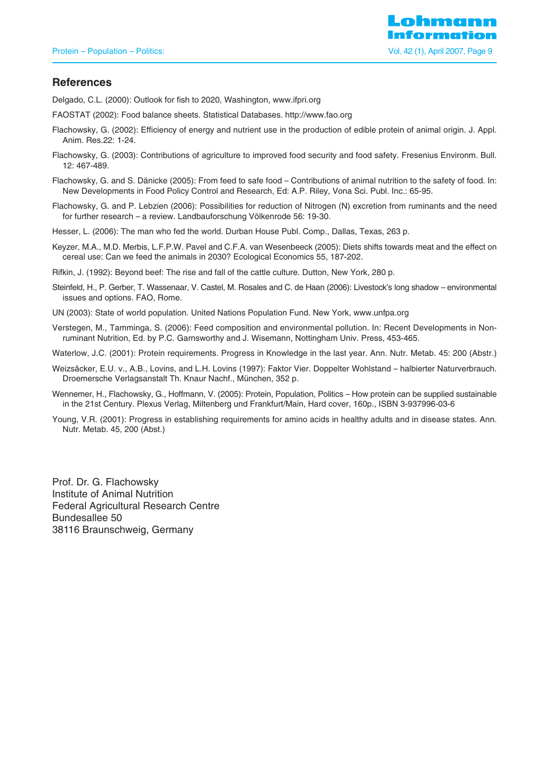

#### **References**

Delgado, C.L. (2000): Outlook for fish to 2020, Washington, www.ifpri.org

- FAOSTAT (2002): Food balance sheets. Statistical Databases. http://www.fao.org
- Flachowsky, G. (2002): Efficiency of energy and nutrient use in the production of edible protein of animal origin. J. Appl. Anim. Res.22: 1-24.
- Flachowsky, G. (2003): Contributions of agriculture to improved food security and food safety. Fresenius Environm. Bull. 12: 467-489.
- Flachowsky, G. and S. Dänicke (2005): From feed to safe food Contributions of animal nutrition to the safety of food. In: New Developments in Food Policy Control and Research, Ed: A.P. Riley, Vona Sci. Publ. Inc.: 65-95.
- Flachowsky, G. and P. Lebzien (2006): Possibilities for reduction of Nitrogen (N) excretion from ruminants and the need for further research – a review. Landbauforschung Völkenrode 56: 19-30.
- Hesser, L. (2006): The man who fed the world. Durban House Publ. Comp., Dallas, Texas, 263 p.
- Keyzer, M.A., M.D. Merbis, L.F.P.W. Pavel and C.F.A. van Wesenbeeck (2005): Diets shifts towards meat and the effect on cereal use: Can we feed the animals in 2030? Ecological Economics 55, 187-202.
- Rifkin, J. (1992): Beyond beef: The rise and fall of the cattle culture. Dutton, New York, 280 p.
- Steinfeld, H., P. Gerber, T. Wassenaar, V. Castel, M. Rosales and C. de Haan (2006): Livestock's long shadow environmental issues and options. FAO, Rome.
- UN (2003): State of world population. United Nations Population Fund. New York, www.unfpa.org
- Verstegen, M., Tamminga, S. (2006): Feed composition and environmental pollution. In: Recent Developments in Nonruminant Nutrition, Ed. by P.C. Garnsworthy and J. Wisemann, Nottingham Univ. Press, 453-465.
- Waterlow, J.C. (2001): Protein requirements. Progress in Knowledge in the last year. Ann. Nutr. Metab. 45: 200 (Abstr.)
- Weizsäcker, E.U. v., A.B., Lovins, and L.H. Lovins (1997): Faktor Vier. Doppelter Wohlstand halbierter Naturverbrauch. Droemersche Verlagsanstalt Th. Knaur Nachf., München, 352 p.
- Wennemer, H., Flachowsky, G., Hoffmann, V. (2005): Protein, Population, Politics How protein can be supplied sustainable in the 21st Century. Plexus Verlag, Miltenberg und Frankfurt/Main, Hard cover, 160p., ISBN 3-937996-03-6
- Young, V.R. (2001): Progress in establishing requirements for amino acids in healthy adults and in disease states. Ann. Nutr. Metab. 45, 200 (Abst.)

Prof. Dr. G. Flachowsky Institute of Animal Nutrition Federal Agricultural Research Centre Bundesallee 50 38116 Braunschweig, Germany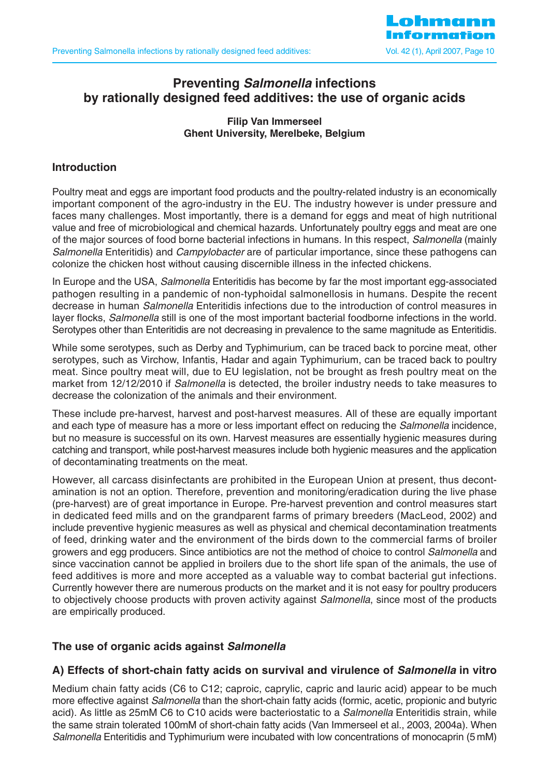

# **Preventing Salmonella infections by rationally designed feed additives: the use of organic acids**

## **Filip Van Immerseel Ghent University, Merelbeke, Belgium**

## **Introduction**

Poultry meat and eggs are important food products and the poultry-related industry is an economically important component of the agro-industry in the EU. The industry however is under pressure and faces many challenges. Most importantly, there is a demand for eggs and meat of high nutritional value and free of microbiological and chemical hazards. Unfortunately poultry eggs and meat are one of the major sources of food borne bacterial infections in humans. In this respect, Salmonella (mainly Salmonella Enteritidis) and *Campylobacter* are of particular importance, since these pathogens can colonize the chicken host without causing discernible illness in the infected chickens.

In Europe and the USA, Salmonella Enteritidis has become by far the most important egg-associated pathogen resulting in a pandemic of non-typhoidal salmonellosis in humans. Despite the recent decrease in human Salmonella Enteritidis infections due to the introduction of control measures in layer flocks, Salmonella still is one of the most important bacterial foodborne infections in the world. Serotypes other than Enteritidis are not decreasing in prevalence to the same magnitude as Enteritidis.

While some serotypes, such as Derby and Typhimurium, can be traced back to porcine meat, other serotypes, such as Virchow, Infantis, Hadar and again Typhimurium, can be traced back to poultry meat. Since poultry meat will, due to EU legislation, not be brought as fresh poultry meat on the market from 12/12/2010 if Salmonella is detected, the broiler industry needs to take measures to decrease the colonization of the animals and their environment.

These include pre-harvest, harvest and post-harvest measures. All of these are equally important and each type of measure has a more or less important effect on reducing the Salmonella incidence, but no measure is successful on its own. Harvest measures are essentially hygienic measures during catching and transport, while post-harvest measures include both hygienic measures and the application of decontaminating treatments on the meat.

However, all carcass disinfectants are prohibited in the European Union at present, thus decontamination is not an option. Therefore, prevention and monitoring/eradication during the live phase (pre-harvest) are of great importance in Europe. Pre-harvest prevention and control measures start in dedicated feed mills and on the grandparent farms of primary breeders (MacLeod, 2002) and include preventive hygienic measures as well as physical and chemical decontamination treatments of feed, drinking water and the environment of the birds down to the commercial farms of broiler growers and egg producers. Since antibiotics are not the method of choice to control Salmonella and since vaccination cannot be applied in broilers due to the short life span of the animals, the use of feed additives is more and more accepted as a valuable way to combat bacterial gut infections. Currently however there are numerous products on the market and it is not easy for poultry producers to objectively choose products with proven activity against Salmonella, since most of the products are empirically produced.

#### **The use of organic acids against Salmonella**

## **A) Effects of short-chain fatty acids on survival and virulence of Salmonella in vitro**

Medium chain fatty acids (C6 to C12; caproic, caprylic, capric and lauric acid) appear to be much more effective against Salmonella than the short-chain fatty acids (formic, acetic, propionic and butyric acid). As little as 25mM C6 to C10 acids were bacteriostatic to a *Salmonella* Enteritidis strain, while the same strain tolerated 100mM of short-chain fatty acids (Van Immerseel et al., 2003, 2004a). When Salmonella Enteritidis and Typhimurium were incubated with low concentrations of monocaprin (5 mM)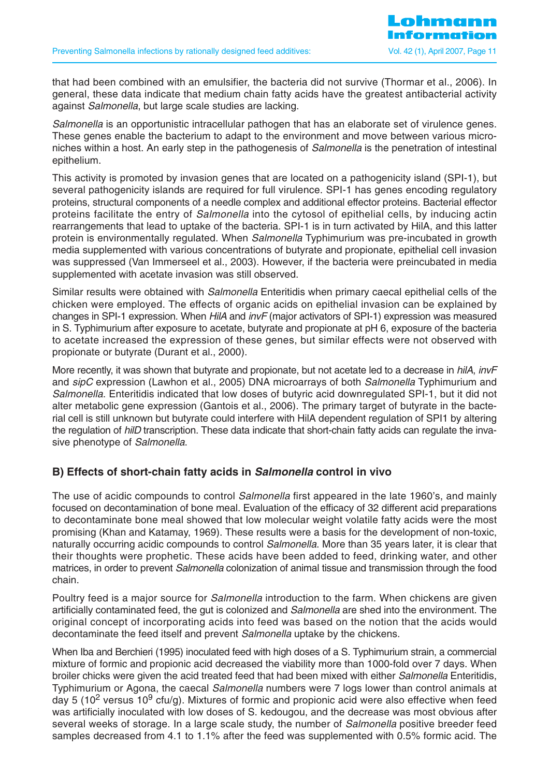that had been combined with an emulsifier, the bacteria did not survive (Thormar et al., 2006). In general, these data indicate that medium chain fatty acids have the greatest antibacterial activity against Salmonella, but large scale studies are lacking.

Salmonella is an opportunistic intracellular pathogen that has an elaborate set of virulence genes. These genes enable the bacterium to adapt to the environment and move between various microniches within a host. An early step in the pathogenesis of Salmonella is the penetration of intestinal epithelium.

This activity is promoted by invasion genes that are located on a pathogenicity island (SPI-1), but several pathogenicity islands are required for full virulence. SPI-1 has genes encoding regulatory proteins, structural components of a needle complex and additional effector proteins. Bacterial effector proteins facilitate the entry of *Salmonella* into the cytosol of epithelial cells, by inducing actin rearrangements that lead to uptake of the bacteria. SPI-1 is in turn activated by HilA, and this latter protein is environmentally regulated. When *Salmonella* Typhimurium was pre-incubated in growth media supplemented with various concentrations of butyrate and propionate, epithelial cell invasion was suppressed (Van Immerseel et al., 2003). However, if the bacteria were preincubated in media supplemented with acetate invasion was still observed.

Similar results were obtained with *Salmonella* Enteritidis when primary caecal epithelial cells of the chicken were employed. The effects of organic acids on epithelial invasion can be explained by changes in SPI-1 expression. When HilA and invF (major activators of SPI-1) expression was measured in S. Typhimurium after exposure to acetate, butyrate and propionate at pH 6, exposure of the bacteria to acetate increased the expression of these genes, but similar effects were not observed with propionate or butyrate (Durant et al., 2000).

More recently, it was shown that butyrate and propionate, but not acetate led to a decrease in hilA, invF and sipC expression (Lawhon et al., 2005) DNA microarrays of both *Salmonella* Typhimurium and Salmonella. Enteritidis indicated that low doses of butyric acid downregulated SPI-1, but it did not alter metabolic gene expression (Gantois et al., 2006). The primary target of butyrate in the bacterial cell is still unknown but butyrate could interfere with HilA dependent regulation of SPI1 by altering the regulation of *hilD* transcription. These data indicate that short-chain fatty acids can regulate the invasive phenotype of Salmonella.

## **B) Effects of short-chain fatty acids in Salmonella control in vivo**

The use of acidic compounds to control *Salmonella* first appeared in the late 1960's, and mainly focused on decontamination of bone meal. Evaluation of the efficacy of 32 different acid preparations to decontaminate bone meal showed that low molecular weight volatile fatty acids were the most promising (Khan and Katamay, 1969). These results were a basis for the development of non-toxic, naturally occurring acidic compounds to control *Salmonella*. More than 35 years later, it is clear that their thoughts were prophetic. These acids have been added to feed, drinking water, and other matrices, in order to prevent Salmonella colonization of animal tissue and transmission through the food chain.

Poultry feed is a major source for *Salmonella* introduction to the farm. When chickens are given artificially contaminated feed, the gut is colonized and Salmonella are shed into the environment. The original concept of incorporating acids into feed was based on the notion that the acids would decontaminate the feed itself and prevent *Salmonella* uptake by the chickens.

When Iba and Berchieri (1995) inoculated feed with high doses of a S. Typhimurium strain, a commercial mixture of formic and propionic acid decreased the viability more than 1000-fold over 7 days. When broiler chicks were given the acid treated feed that had been mixed with either Salmonella Enteritidis, Typhimurium or Agona, the caecal Salmonella numbers were 7 logs lower than control animals at day 5 (10<sup>2</sup> versus 10<sup>9</sup> cfu/g). Mixtures of formic and propionic acid were also effective when feed was artificially inoculated with low doses of S. kedougou, and the decrease was most obvious after several weeks of storage. In a large scale study, the number of Salmonella positive breeder feed samples decreased from 4.1 to 1.1% after the feed was supplemented with 0.5% formic acid. The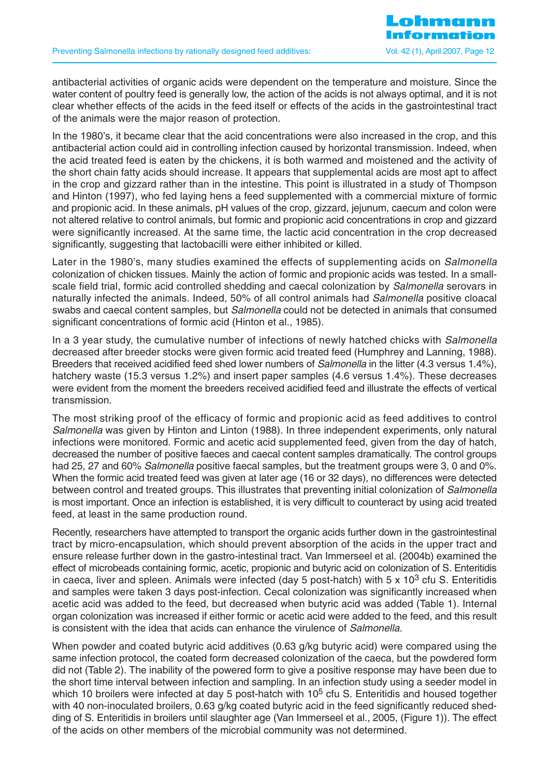antibacterial activities of organic acids were dependent on the temperature and moisture. Since the water content of poultry feed is generally low, the action of the acids is not always optimal, and it is not clear whether effects of the acids in the feed itself or effects of the acids in the gastrointestinal tract of the animals were the major reason of protection.

In the 1980's, it became clear that the acid concentrations were also increased in the crop, and this antibacterial action could aid in controlling infection caused by horizontal transmission. Indeed, when the acid treated feed is eaten by the chickens, it is both warmed and moistened and the activity of the short chain fatty acids should increase. It appears that supplemental acids are most apt to affect in the crop and gizzard rather than in the intestine. This point is illustrated in a study of Thompson and Hinton (1997), who fed laying hens a feed supplemented with a commercial mixture of formic and propionic acid. In these animals, pH values of the crop, gizzard, jejunum, caecum and colon were not altered relative to control animals, but formic and propionic acid concentrations in crop and gizzard were significantly increased. At the same time, the lactic acid concentration in the crop decreased significantly, suggesting that lactobacilli were either inhibited or killed.

Later in the 1980's, many studies examined the effects of supplementing acids on *Salmonella* colonization of chicken tissues. Mainly the action of formic and propionic acids was tested. In a smallscale field trial, formic acid controlled shedding and caecal colonization by Salmonella serovars in naturally infected the animals. Indeed, 50% of all control animals had Salmonella positive cloacal swabs and caecal content samples, but *Salmonella* could not be detected in animals that consumed significant concentrations of formic acid (Hinton et al., 1985).

In a 3 year study, the cumulative number of infections of newly hatched chicks with Salmonella decreased after breeder stocks were given formic acid treated feed (Humphrey and Lanning, 1988). Breeders that received acidified feed shed lower numbers of *Salmonella* in the litter (4.3 versus 1.4%), hatchery waste (15.3 versus 1.2%) and insert paper samples (4.6 versus 1.4%). These decreases were evident from the moment the breeders received acidified feed and illustrate the effects of vertical transmission.

The most striking proof of the efficacy of formic and propionic acid as feed additives to control Salmonella was given by Hinton and Linton (1988). In three independent experiments, only natural infections were monitored. Formic and acetic acid supplemented feed, given from the day of hatch, decreased the number of positive faeces and caecal content samples dramatically. The control groups had 25, 27 and 60% *Salmonella* positive faecal samples, but the treatment groups were 3, 0 and 0%. When the formic acid treated feed was given at later age (16 or 32 days), no differences were detected between control and treated groups. This illustrates that preventing initial colonization of Salmonella is most important. Once an infection is established, it is very difficult to counteract by using acid treated feed, at least in the same production round.

Recently, researchers have attempted to transport the organic acids further down in the gastrointestinal tract by micro-encapsulation, which should prevent absorption of the acids in the upper tract and ensure release further down in the gastro-intestinal tract. Van Immerseel et al. (2004b) examined the effect of microbeads containing formic, acetic, propionic and butyric acid on colonization of S. Enteritidis in caeca, liver and spleen. Animals were infected (day 5 post-hatch) with 5 x 10<sup>3</sup> cfu S. Enteritidis and samples were taken 3 days post-infection. Cecal colonization was significantly increased when acetic acid was added to the feed, but decreased when butyric acid was added (Table 1). Internal organ colonization was increased if either formic or acetic acid were added to the feed, and this result is consistent with the idea that acids can enhance the virulence of Salmonella.

When powder and coated butyric acid additives (0.63 g/kg butyric acid) were compared using the same infection protocol, the coated form decreased colonization of the caeca, but the powdered form did not (Table 2). The inability of the powered form to give a positive response may have been due to the short time interval between infection and sampling. In an infection study using a seeder model in which 10 broilers were infected at day 5 post-hatch with 10<sup>5</sup> cfu S. Enteritidis and housed together with 40 non-inoculated broilers, 0.63 g/kg coated butyric acid in the feed significantly reduced shedding of S. Enteritidis in broilers until slaughter age (Van Immerseel et al., 2005, (Figure 1)). The effect of the acids on other members of the microbial community was not determined.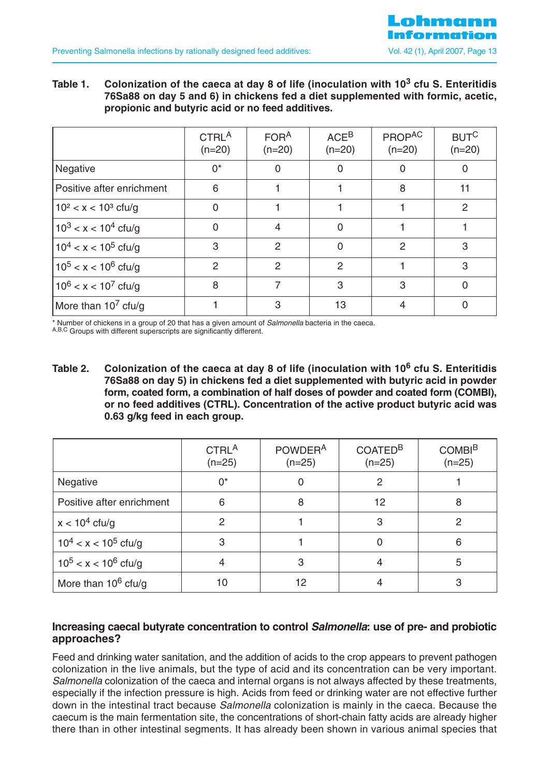**Table 1. Colonization of the caeca at day 8 of life (inoculation with 10<sup>3</sup> cfu S. Enteritidis 76Sa88 on day 5 and 6) in chickens fed a diet supplemented with formic, acetic, propionic and butyric acid or no feed additives.**

|                           | CTRL <sup>A</sup><br>$(n=20)$ | FOR <sup>A</sup><br>$(n=20)$ | ACE <sup>B</sup><br>$(n=20)$ | PROPAC<br>$(n=20)$ | <b>BUTC</b><br>$(n=20)$ |
|---------------------------|-------------------------------|------------------------------|------------------------------|--------------------|-------------------------|
| Negative                  | $0^*$                         | 0                            | 0                            | 0                  |                         |
| Positive after enrichment | 6                             |                              |                              | 8                  | 11                      |
| $10^2 < x < 10^3$ cfu/g   | $\Omega$                      |                              |                              |                    | 2                       |
| $10^3 < x < 10^4$ cfu/g   | $\Omega$                      | 4                            | $\Omega$                     |                    |                         |
| $10^4 < x < 10^5$ cfu/g   | 3                             | 2                            | $\Omega$                     | $\mathcal{P}$      | 3                       |
| $10^5 < x < 10^6$ cfu/g   | $\overline{2}$                | $\overline{2}$               | $\overline{2}$               |                    | 3                       |
| $10^6 < x < 10^7$ cfu/g   | 8                             | 7                            | 3                            | 3                  | O                       |
| More than $107$ cfu/g     |                               | 3                            | 13                           |                    |                         |

\* Number of chickens in a group of 20 that has a given amount of Salmonella bacteria in the caeca.

A,B,C Groups with different superscripts are significantly different.

**Table 2. Colonization of the caeca at day 8 of life (inoculation with 10<sup>6</sup> cfu S. Enteritidis 76Sa88 on day 5) in chickens fed a diet supplemented with butyric acid in powder form, coated form, a combination of half doses of powder and coated form (COMBI), or no feed additives (CTRL). Concentration of the active product butyric acid was 0.63 g/kg feed in each group.**

|                           | CTRL <sup>A</sup><br>$(n=25)$ | POWDER <sup>A</sup><br>$(n=25)$ | COATED <sup>B</sup><br>$(n=25)$ | <b>COMBI<sup>B</sup></b><br>$(n=25)$ |
|---------------------------|-------------------------------|---------------------------------|---------------------------------|--------------------------------------|
| Negative                  | $0^*$                         | O                               | $\mathcal{P}$                   |                                      |
| Positive after enrichment | 6                             | 8                               | 12                              | 8                                    |
| $x < 10^4$ cfu/g          | 2                             |                                 | 3                               | 2                                    |
| $10^4 < x < 10^5$ cfu/g   | 3                             |                                 |                                 | 6                                    |
| $10^5 < x < 10^6$ cfu/g   | 4                             | 3                               |                                 | 5                                    |
| More than $10^6$ cfu/g    | 10                            | 12                              |                                 | 3                                    |

## **Increasing caecal butyrate concentration to control Salmonella: use of pre- and probiotic approaches?**

Feed and drinking water sanitation, and the addition of acids to the crop appears to prevent pathogen colonization in the live animals, but the type of acid and its concentration can be very important. Salmonella colonization of the caeca and internal organs is not always affected by these treatments, especially if the infection pressure is high. Acids from feed or drinking water are not effective further down in the intestinal tract because Salmonella colonization is mainly in the caeca. Because the caecum is the main fermentation site, the concentrations of short-chain fatty acids are already higher there than in other intestinal segments. It has already been shown in various animal species that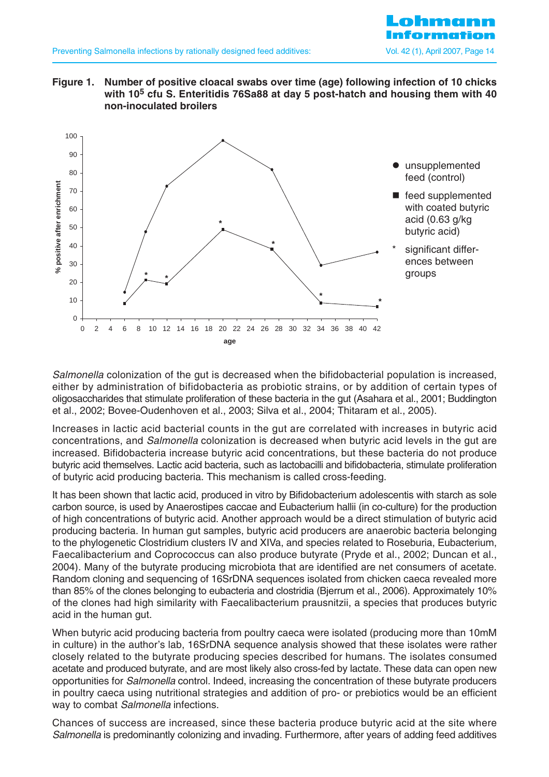





Salmonella colonization of the gut is decreased when the bifidobacterial population is increased, either by administration of bifidobacteria as probiotic strains, or by addition of certain types of oligosaccharides that stimulate proliferation of these bacteria in the gut (Asahara et al., 2001; Buddington et al., 2002; Bovee-Oudenhoven et al., 2003; Silva et al., 2004; Thitaram et al., 2005).

Increases in lactic acid bacterial counts in the gut are correlated with increases in butyric acid concentrations, and Salmonella colonization is decreased when butyric acid levels in the gut are increased. Bifidobacteria increase butyric acid concentrations, but these bacteria do not produce butyric acid themselves. Lactic acid bacteria, such as lactobacilli and bifidobacteria, stimulate proliferation of butyric acid producing bacteria. This mechanism is called cross-feeding.

It has been shown that lactic acid, produced in vitro by Bifidobacterium adolescentis with starch as sole carbon source, is used by Anaerostipes caccae and Eubacterium hallii (in co-culture) for the production of high concentrations of butyric acid. Another approach would be a direct stimulation of butyric acid producing bacteria. In human gut samples, butyric acid producers are anaerobic bacteria belonging to the phylogenetic Clostridium clusters IV and XIVa, and species related to Roseburia, Eubacterium, Faecalibacterium and Coprococcus can also produce butyrate (Pryde et al., 2002; Duncan et al., 2004). Many of the butyrate producing microbiota that are identified are net consumers of acetate. Random cloning and sequencing of 16SrDNA sequences isolated from chicken caeca revealed more than 85% of the clones belonging to eubacteria and clostridia (Bjerrum et al., 2006). Approximately 10% of the clones had high similarity with Faecalibacterium prausnitzii, a species that produces butyric acid in the human gut.

When butyric acid producing bacteria from poultry caeca were isolated (producing more than 10mM in culture) in the author's lab, 16SrDNA sequence analysis showed that these isolates were rather closely related to the butyrate producing species described for humans. The isolates consumed acetate and produced butyrate, and are most likely also cross-fed by lactate. These data can open new opportunities for Salmonella control. Indeed, increasing the concentration of these butyrate producers in poultry caeca using nutritional strategies and addition of pro- or prebiotics would be an efficient way to combat Salmonella infections.

Chances of success are increased, since these bacteria produce butyric acid at the site where Salmonella is predominantly colonizing and invading. Furthermore, after years of adding feed additives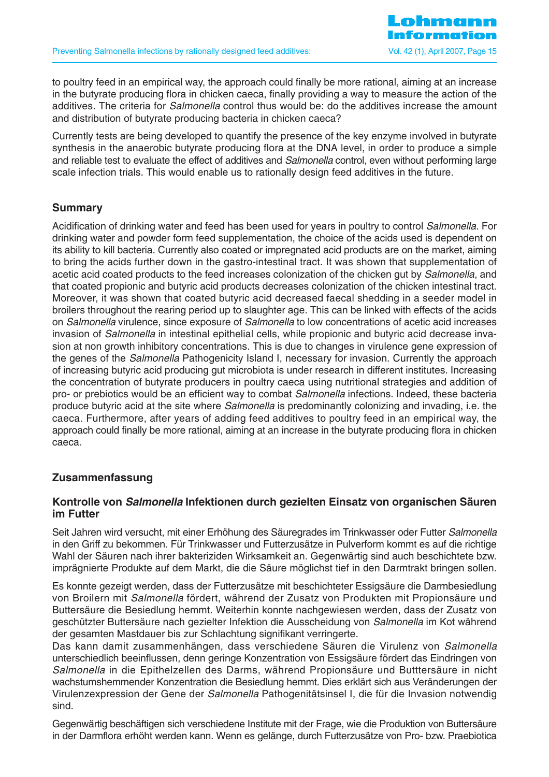to poultry feed in an empirical way, the approach could finally be more rational, aiming at an increase in the butyrate producing flora in chicken caeca, finally providing a way to measure the action of the additives. The criteria for *Salmonella* control thus would be: do the additives increase the amount and distribution of butyrate producing bacteria in chicken caeca?

Currently tests are being developed to quantify the presence of the key enzyme involved in butyrate synthesis in the anaerobic butyrate producing flora at the DNA level, in order to produce a simple and reliable test to evaluate the effect of additives and Salmonella control, even without performing large scale infection trials. This would enable us to rationally design feed additives in the future.

#### **Summary**

Acidification of drinking water and feed has been used for years in poultry to control Salmonella. For drinking water and powder form feed supplementation, the choice of the acids used is dependent on its ability to kill bacteria. Currently also coated or impregnated acid products are on the market, aiming to bring the acids further down in the gastro-intestinal tract. It was shown that supplementation of acetic acid coated products to the feed increases colonization of the chicken gut by *Salmonella*, and that coated propionic and butyric acid products decreases colonization of the chicken intestinal tract. Moreover, it was shown that coated butyric acid decreased faecal shedding in a seeder model in broilers throughout the rearing period up to slaughter age. This can be linked with effects of the acids on Salmonella virulence, since exposure of Salmonella to low concentrations of acetic acid increases invasion of Salmonella in intestinal epithelial cells, while propionic and butyric acid decrease invasion at non growth inhibitory concentrations. This is due to changes in virulence gene expression of the genes of the Salmonella Pathogenicity Island I, necessary for invasion. Currently the approach of increasing butyric acid producing gut microbiota is under research in different institutes. Increasing the concentration of butyrate producers in poultry caeca using nutritional strategies and addition of pro- or prebiotics would be an efficient way to combat Salmonella infections. Indeed, these bacteria produce butyric acid at the site where Salmonella is predominantly colonizing and invading, i.e. the caeca. Furthermore, after years of adding feed additives to poultry feed in an empirical way, the approach could finally be more rational, aiming at an increase in the butyrate producing flora in chicken caeca.

## **Zusammenfassung**

## **Kontrolle von Salmonella Infektionen durch gezielten Einsatz von organischen Säuren im Futter**

Seit Jahren wird versucht, mit einer Erhöhung des Säuregrades im Trinkwasser oder Futter Salmonella in den Griff zu bekommen. Für Trinkwasser und Futterzusätze in Pulverform kommt es auf die richtige Wahl der Säuren nach ihrer bakteriziden Wirksamkeit an. Gegenwärtig sind auch beschichtete bzw. imprägnierte Produkte auf dem Markt, die die Säure möglichst tief in den Darmtrakt bringen sollen.

Es konnte gezeigt werden, dass der Futterzusätze mit beschichteter Essigsäure die Darmbesiedlung von Broilern mit Salmonella fördert, während der Zusatz von Produkten mit Propionsäure und Buttersäure die Besiedlung hemmt. Weiterhin konnte nachgewiesen werden, dass der Zusatz von geschützter Buttersäure nach gezielter Infektion die Ausscheidung von Salmonella im Kot während der gesamten Mastdauer bis zur Schlachtung signifikant verringerte.

Das kann damit zusammenhängen, dass verschiedene Säuren die Virulenz von Salmonella unterschiedlich beeinflussen, denn geringe Konzentration von Essigsäure fördert das Eindringen von Salmonella in die Epithelzellen des Darms, während Propionsäure und Butttersäure in nicht wachstumshemmender Konzentration die Besiedlung hemmt. Dies erklärt sich aus Veränderungen der Virulenzexpression der Gene der Salmonella Pathogenitätsinsel I, die für die Invasion notwendig sind.

Gegenwärtig beschäftigen sich verschiedene Institute mit der Frage, wie die Produktion von Buttersäure in der Darmflora erhöht werden kann. Wenn es gelänge, durch Futterzusätze von Pro- bzw. Praebiotica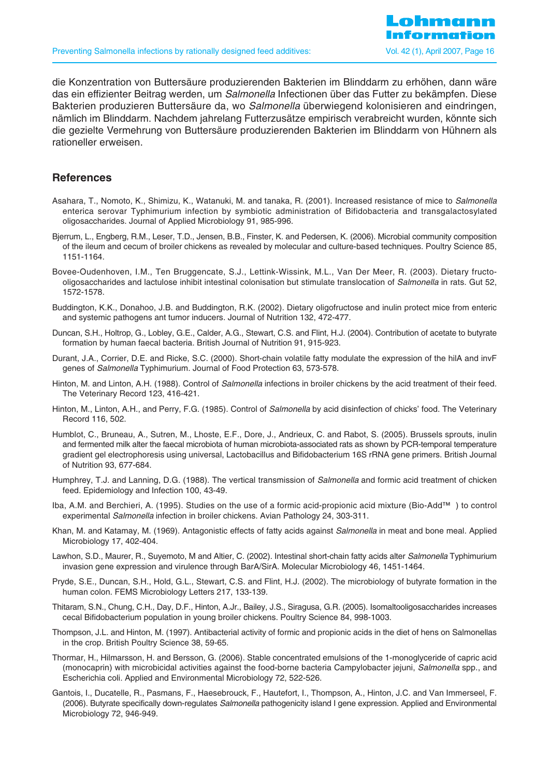die Konzentration von Buttersäure produzierenden Bakterien im Blinddarm zu erhöhen, dann wäre das ein effizienter Beitrag werden, um Salmonella Infectionen über das Futter zu bekämpfen. Diese Bakterien produzieren Buttersäure da, wo Salmonella überwiegend kolonisieren and eindringen, nämlich im Blinddarm. Nachdem jahrelang Futterzusätze empirisch verabreicht wurden, könnte sich die gezielte Vermehrung von Buttersäure produzierenden Bakterien im Blinddarm von Hühnern als rationeller erweisen.

#### **References**

- Asahara, T., Nomoto, K., Shimizu, K., Watanuki, M. and tanaka, R. (2001). Increased resistance of mice to Salmonella enterica serovar Typhimurium infection by symbiotic administration of Bifidobacteria and transgalactosylated oligosaccharides. Journal of Applied Microbiology 91, 985-996.
- Bjerrum, L., Engberg, R.M., Leser, T.D., Jensen, B.B., Finster, K. and Pedersen, K. (2006). Microbial community composition of the ileum and cecum of broiler chickens as revealed by molecular and culture-based techniques. Poultry Science 85, 1151-1164.
- Bovee-Oudenhoven, I.M., Ten Bruggencate, S.J., Lettink-Wissink, M.L., Van Der Meer, R. (2003). Dietary fructooligosaccharides and lactulose inhibit intestinal colonisation but stimulate translocation of Salmonella in rats. Gut 52, 1572-1578.
- Buddington, K.K., Donahoo, J.B. and Buddington, R.K. (2002). Dietary oligofructose and inulin protect mice from enteric and systemic pathogens ant tumor inducers. Journal of Nutrition 132, 472-477.
- Duncan, S.H., Holtrop, G., Lobley, G.E., Calder, A.G., Stewart, C.S. and Flint, H.J. (2004). Contribution of acetate to butyrate formation by human faecal bacteria. British Journal of Nutrition 91, 915-923.
- Durant, J.A., Corrier, D.E. and Ricke, S.C. (2000). Short-chain volatile fatty modulate the expression of the hilA and invF genes of Salmonella Typhimurium. Journal of Food Protection 63, 573-578.
- Hinton, M. and Linton, A.H. (1988). Control of Salmonella infections in broiler chickens by the acid treatment of their feed. The Veterinary Record 123, 416-421.
- Hinton, M., Linton, A.H., and Perry, F.G. (1985). Control of Salmonella by acid disinfection of chicks' food. The Veterinary Record 116, 502.
- Humblot, C., Bruneau, A., Sutren, M., Lhoste, E.F., Dore, J., Andrieux, C. and Rabot, S. (2005). Brussels sprouts, inulin and fermented milk alter the faecal microbiota of human microbiota-associated rats as shown by PCR-temporal temperature gradient gel electrophoresis using universal, Lactobacillus and Bifidobacterium 16S rRNA gene primers. British Journal of Nutrition 93, 677-684.
- Humphrey, T.J. and Lanning, D.G. (1988). The vertical transmission of Salmonella and formic acid treatment of chicken feed. Epidemiology and Infection 100, 43-49.
- Iba, A.M. and Berchieri, A. (1995). Studies on the use of a formic acid-propionic acid mixture (Bio-Add™ ) to control experimental Salmonella infection in broiler chickens. Avian Pathology 24, 303-311.
- Khan, M. and Katamay, M. (1969). Antagonistic effects of fatty acids against *Salmonella* in meat and bone meal. Applied Microbiology 17, 402-404.
- Lawhon, S.D., Maurer, R., Suyemoto, M and Altier, C. (2002). Intestinal short-chain fatty acids alter Salmonella Typhimurium invasion gene expression and virulence through BarA/SirA. Molecular Microbiology 46, 1451-1464.
- Pryde, S.E., Duncan, S.H., Hold, G.L., Stewart, C.S. and Flint, H.J. (2002). The microbiology of butyrate formation in the human colon. FEMS Microbiology Letters 217, 133-139.
- Thitaram, S.N., Chung, C.H., Day, D.F., Hinton, A.Jr., Bailey, J.S., Siragusa, G.R. (2005). Isomaltooligosaccharides increases cecal Bifidobacterium population in young broiler chickens. Poultry Science 84, 998-1003.
- Thompson, J.L. and Hinton, M. (1997). Antibacterial activity of formic and propionic acids in the diet of hens on Salmonellas in the crop. British Poultry Science 38, 59-65.
- Thormar, H., Hilmarsson, H. and Bersson, G. (2006). Stable concentrated emulsions of the 1-monoglyceride of capric acid (monocaprin) with microbicidal activities against the food-borne bacteria Campylobacter jejuni, Salmonella spp., and Escherichia coli. Applied and Environmental Microbiology 72, 522-526.
- Gantois, I., Ducatelle, R., Pasmans, F., Haesebrouck, F., Hautefort, I., Thompson, A., Hinton, J.C. and Van Immerseel, F. (2006). Butyrate specifically down-regulates Salmonella pathogenicity island I gene expression. Applied and Environmental Microbiology 72, 946-949.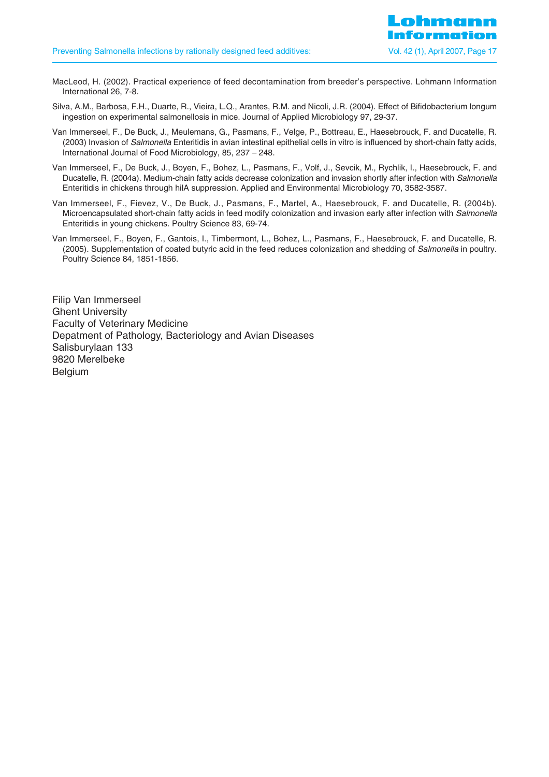- MacLeod, H. (2002). Practical experience of feed decontamination from breeder's perspective. Lohmann Information International 26, 7-8.
- Silva, A.M., Barbosa, F.H., Duarte, R., Vieira, L.Q., Arantes, R.M. and Nicoli, J.R. (2004). Effect of Bifidobacterium longum ingestion on experimental salmonellosis in mice. Journal of Applied Microbiology 97, 29-37.
- Van Immerseel, F., De Buck, J., Meulemans, G., Pasmans, F., Velge, P., Bottreau, E., Haesebrouck, F. and Ducatelle, R. (2003) Invasion of Salmonella Enteritidis in avian intestinal epithelial cells in vitro is influenced by short-chain fatty acids, International Journal of Food Microbiology, 85, 237 – 248.
- Van Immerseel, F., De Buck, J., Boyen, F., Bohez, L., Pasmans, F., Volf, J., Sevcik, M., Rychlik, I., Haesebrouck, F. and Ducatelle, R. (2004a). Medium-chain fatty acids decrease colonization and invasion shortly after infection with Salmonella Enteritidis in chickens through hilA suppression. Applied and Environmental Microbiology 70, 3582-3587.
- Van Immerseel, F., Fievez, V., De Buck, J., Pasmans, F., Martel, A., Haesebrouck, F. and Ducatelle, R. (2004b). Microencapsulated short-chain fatty acids in feed modify colonization and invasion early after infection with Salmonella Enteritidis in young chickens. Poultry Science 83, 69-74.
- Van Immerseel, F., Boyen, F., Gantois, I., Timbermont, L., Bohez, L., Pasmans, F., Haesebrouck, F. and Ducatelle, R. (2005). Supplementation of coated butyric acid in the feed reduces colonization and shedding of Salmonella in poultry. Poultry Science 84, 1851-1856.

Filip Van Immerseel Ghent University Faculty of Veterinary Medicine Depatment of Pathology, Bacteriology and Avian Diseases Salisburylaan 133 9820 Merelbeke Belgium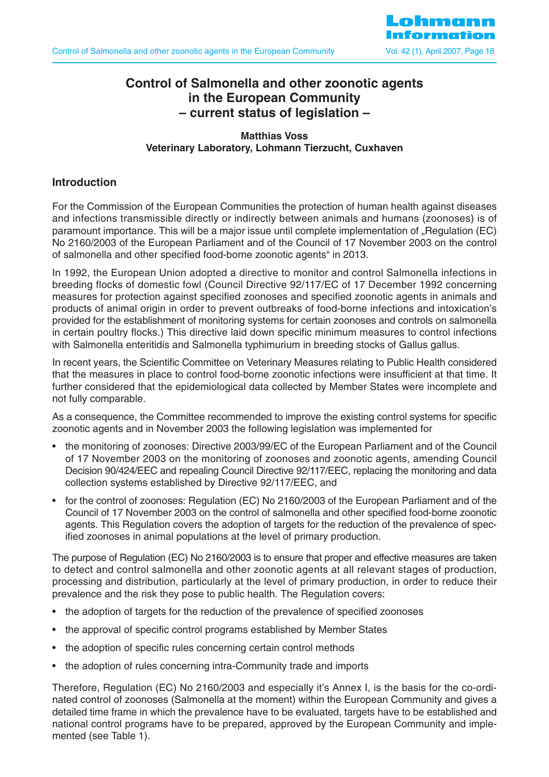

# **Control of Salmonella and other zoonotic agents in the European Community – current status of legislation –**

#### **Matthias Voss Veterinary Laboratory, Lohmann Tierzucht, Cuxhaven**

### **Introduction**

For the Commission of the European Communities the protection of human health against diseases and infections transmissible directly or indirectly between animals and humans (zoonoses) is of paramount importance. This will be a major issue until complete implementation of "Regulation (EC) No 2160/2003 of the European Parliament and of the Council of 17 November 2003 on the control of salmonella and other specified food-borne zoonotic agents" in 2013.

In 1992, the European Union adopted a directive to monitor and control Salmonella infections in breeding flocks of domestic fowl (Council Directive 92/117/EC of 17 December 1992 concerning measures for protection against specified zoonoses and specified zoonotic agents in animals and products of animal origin in order to prevent outbreaks of food-borne infections and intoxication's provided for the establishment of monitoring systems for certain zoonoses and controls on salmonella in certain poultry flocks.) This directive laid down specific minimum measures to control infections with Salmonella enteritidis and Salmonella typhimurium in breeding stocks of Gallus gallus.

In recent years, the Scientific Committee on Veterinary Measures relating to Public Health considered that the measures in place to control food-borne zoonotic infections were insufficient at that time. It further considered that the epidemiological data collected by Member States were incomplete and not fully comparable.

As a consequence, the Committee recommended to improve the existing control systems for specific zoonotic agents and in November 2003 the following legislation was implemented for

- the monitoring of zoonoses: Directive 2003/99/EC of the European Parliament and of the Council of 17 November 2003 on the monitoring of zoonoses and zoonotic agents, amending Council Decision 90/424/EEC and repealing Council Directive 92/117/EEC, replacing the monitoring and data collection systems established by Directive 92/117/EEC, and
- for the control of zoonoses: Regulation (EC) No 2160/2003 of the European Parliament and of the Council of 17 November 2003 on the control of salmonella and other specified food-borne zoonotic agents. This Regulation covers the adoption of targets for the reduction of the prevalence of specified zoonoses in animal populations at the level of primary production.

The purpose of Regulation (EC) No 2160/2003 is to ensure that proper and effective measures are taken to detect and control salmonella and other zoonotic agents at all relevant stages of production, processing and distribution, particularly at the level of primary production, in order to reduce their prevalence and the risk they pose to public health. The Regulation covers:

- the adoption of targets for the reduction of the prevalence of specified zoonoses
- the approval of specific control programs established by Member States
- the adoption of specific rules concerning certain control methods
- the adoption of rules concerning intra-Community trade and imports

Therefore, Regulation (EC) No 2160/2003 and especially it's Annex I, is the basis for the co-ordinated control of zoonoses (Salmonella at the moment) within the European Community and gives a detailed time frame in which the prevalence have to be evaluated, targets have to be established and national control programs have to be prepared, approved by the European Community and implemented (see Table 1).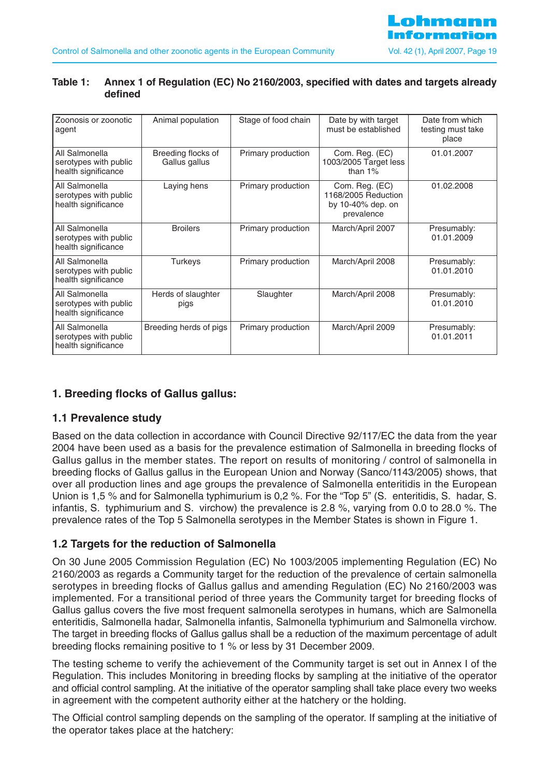| Zoonosis or zoonotic<br>agent                                  | Animal population                   | Stage of food chain | Date by with target<br>must be established                               | Date from which<br>testing must take<br>place |
|----------------------------------------------------------------|-------------------------------------|---------------------|--------------------------------------------------------------------------|-----------------------------------------------|
| All Salmonella<br>serotypes with public<br>health significance | Breeding flocks of<br>Gallus gallus | Primary production  | Com. Reg. (EC)<br>1003/2005 Target less<br>than $1\%$                    | 01.01.2007                                    |
| All Salmonella<br>serotypes with public<br>health significance | Laying hens                         | Primary production  | Com. Reg. (EC)<br>1168/2005 Reduction<br>by 10-40% dep. on<br>prevalence | 01.02.2008                                    |
| All Salmonella<br>serotypes with public<br>health significance | <b>Broilers</b>                     | Primary production  | March/April 2007                                                         | Presumably:<br>01.01.2009                     |
| All Salmonella<br>serotypes with public<br>health significance | <b>Turkeys</b>                      | Primary production  | March/April 2008                                                         | Presumably:<br>01.01.2010                     |
| All Salmonella<br>serotypes with public<br>health significance | Herds of slaughter<br>pigs          | Slaughter           | March/April 2008                                                         | Presumably:<br>01.01.2010                     |
| All Salmonella<br>serotypes with public<br>health significance | Breeding herds of pigs              | Primary production  | March/April 2009                                                         | Presumably:<br>01.01.2011                     |

#### **Table 1: Annex 1 of Regulation (EC) No 2160/2003, specified with dates and targets already defined**

## **1. Breeding flocks of Gallus gallus:**

## **1.1 Prevalence study**

Based on the data collection in accordance with Council Directive 92/117/EC the data from the year 2004 have been used as a basis for the prevalence estimation of Salmonella in breeding flocks of Gallus gallus in the member states. The report on results of monitoring / control of salmonella in breeding flocks of Gallus gallus in the European Union and Norway (Sanco/1143/2005) shows, that over all production lines and age groups the prevalence of Salmonella enteritidis in the European Union is 1,5 % and for Salmonella typhimurium is 0,2 %. For the "Top 5" (S. enteritidis, S. hadar, S. infantis, S. typhimurium and S. virchow) the prevalence is 2.8 %, varying from 0.0 to 28.0 %. The prevalence rates of the Top 5 Salmonella serotypes in the Member States is shown in Figure 1.

## **1.2 Targets for the reduction of Salmonella**

On 30 June 2005 Commission Regulation (EC) No 1003/2005 implementing Regulation (EC) No 2160/2003 as regards a Community target for the reduction of the prevalence of certain salmonella serotypes in breeding flocks of Gallus gallus and amending Regulation (EC) No 2160/2003 was implemented. For a transitional period of three years the Community target for breeding flocks of Gallus gallus covers the five most frequent salmonella serotypes in humans, which are Salmonella enteritidis, Salmonella hadar, Salmonella infantis, Salmonella typhimurium and Salmonella virchow. The target in breeding flocks of Gallus gallus shall be a reduction of the maximum percentage of adult breeding flocks remaining positive to 1 % or less by 31 December 2009.

The testing scheme to verify the achievement of the Community target is set out in Annex I of the Regulation. This includes Monitoring in breeding flocks by sampling at the initiative of the operator and official control sampling. At the initiative of the operator sampling shall take place every two weeks in agreement with the competent authority either at the hatchery or the holding.

The Official control sampling depends on the sampling of the operator. If sampling at the initiative of the operator takes place at the hatchery: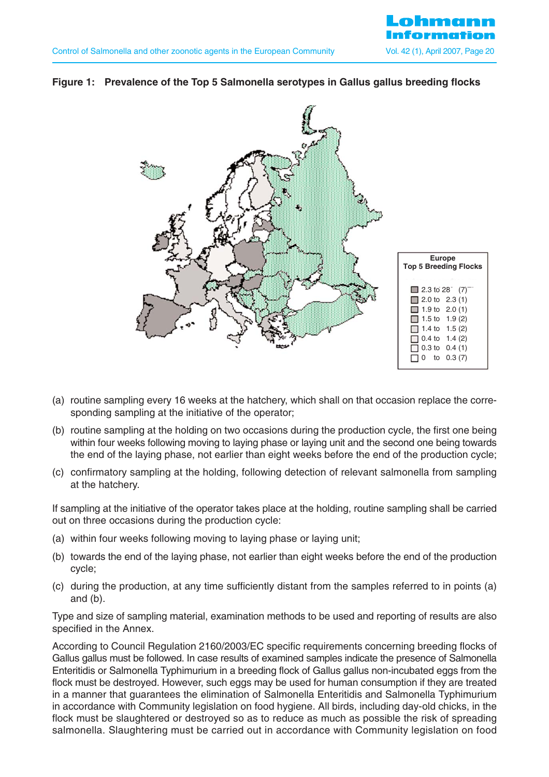

#### **Figure 1: Prevalence of the Top 5 Salmonella serotypes in Gallus gallus breeding flocks**



- (a) routine sampling every 16 weeks at the hatchery, which shall on that occasion replace the corresponding sampling at the initiative of the operator;
- (b) routine sampling at the holding on two occasions during the production cycle, the first one being within four weeks following moving to laying phase or laying unit and the second one being towards the end of the laying phase, not earlier than eight weeks before the end of the production cycle;
- (c) confirmatory sampling at the holding, following detection of relevant salmonella from sampling at the hatchery.

If sampling at the initiative of the operator takes place at the holding, routine sampling shall be carried out on three occasions during the production cycle:

- (a) within four weeks following moving to laying phase or laying unit;
- (b) towards the end of the laying phase, not earlier than eight weeks before the end of the production cycle;
- (c) during the production, at any time sufficiently distant from the samples referred to in points (a) and (b).

Type and size of sampling material, examination methods to be used and reporting of results are also specified in the Annex.

According to Council Regulation 2160/2003/EC specific requirements concerning breeding flocks of Gallus gallus must be followed. In case results of examined samples indicate the presence of Salmonella Enteritidis or Salmonella Typhimurium in a breeding flock of Gallus gallus non-incubated eggs from the flock must be destroyed. However, such eggs may be used for human consumption if they are treated in a manner that guarantees the elimination of Salmonella Enteritidis and Salmonella Typhimurium in accordance with Community legislation on food hygiene. All birds, including day-old chicks, in the flock must be slaughtered or destroyed so as to reduce as much as possible the risk of spreading salmonella. Slaughtering must be carried out in accordance with Community legislation on food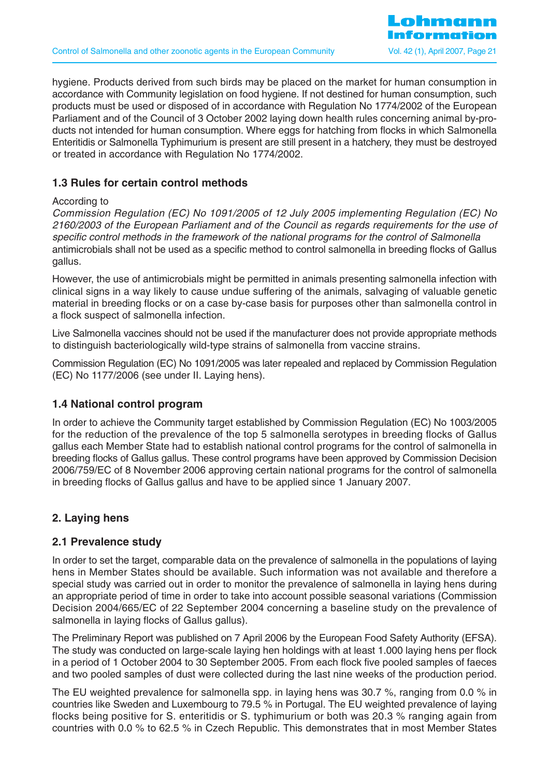hygiene. Products derived from such birds may be placed on the market for human consumption in accordance with Community legislation on food hygiene. If not destined for human consumption, such products must be used or disposed of in accordance with Regulation No 1774/2002 of the European Parliament and of the Council of 3 October 2002 laying down health rules concerning animal by-products not intended for human consumption. Where eggs for hatching from flocks in which Salmonella Enteritidis or Salmonella Typhimurium is present are still present in a hatchery, they must be destroyed or treated in accordance with Regulation No 1774/2002.

## **1.3 Rules for certain control methods**

#### According to

Commission Regulation (EC) No 1091/2005 of 12 July 2005 implementing Regulation (EC) No 2160/2003 of the European Parliament and of the Council as regards requirements for the use of specific control methods in the framework of the national programs for the control of Salmonella antimicrobials shall not be used as a specific method to control salmonella in breeding flocks of Gallus gallus.

However, the use of antimicrobials might be permitted in animals presenting salmonella infection with clinical signs in a way likely to cause undue suffering of the animals, salvaging of valuable genetic material in breeding flocks or on a case by-case basis for purposes other than salmonella control in a flock suspect of salmonella infection.

Live Salmonella vaccines should not be used if the manufacturer does not provide appropriate methods to distinguish bacteriologically wild-type strains of salmonella from vaccine strains.

Commission Regulation (EC) No 1091/2005 was later repealed and replaced by Commission Regulation (EC) No 1177/2006 (see under II. Laying hens).

#### **1.4 National control program**

In order to achieve the Community target established by Commission Regulation (EC) No 1003/2005 for the reduction of the prevalence of the top 5 salmonella serotypes in breeding flocks of Gallus gallus each Member State had to establish national control programs for the control of salmonella in breeding flocks of Gallus gallus. These control programs have been approved by Commission Decision 2006/759/EC of 8 November 2006 approving certain national programs for the control of salmonella in breeding flocks of Gallus gallus and have to be applied since 1 January 2007.

## **2. Laying hens**

## **2.1 Prevalence study**

In order to set the target, comparable data on the prevalence of salmonella in the populations of laying hens in Member States should be available. Such information was not available and therefore a special study was carried out in order to monitor the prevalence of salmonella in laying hens during an appropriate period of time in order to take into account possible seasonal variations (Commission Decision 2004/665/EC of 22 September 2004 concerning a baseline study on the prevalence of salmonella in laying flocks of Gallus gallus).

The Preliminary Report was published on 7 April 2006 by the European Food Safety Authority (EFSA). The study was conducted on large-scale laying hen holdings with at least 1.000 laying hens per flock in a period of 1 October 2004 to 30 September 2005. From each flock five pooled samples of faeces and two pooled samples of dust were collected during the last nine weeks of the production period.

The EU weighted prevalence for salmonella spp. in laying hens was 30.7 %, ranging from 0.0 % in countries like Sweden and Luxembourg to 79.5 % in Portugal. The EU weighted prevalence of laying flocks being positive for S. enteritidis or S. typhimurium or both was 20.3 % ranging again from countries with 0.0 % to 62.5 % in Czech Republic. This demonstrates that in most Member States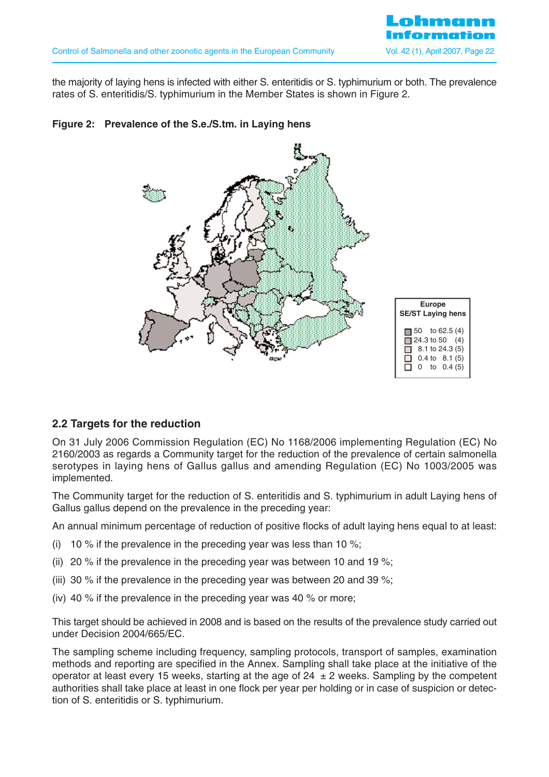

the majority of laying hens is infected with either S. enteritidis or S. typhimurium or both. The prevalence rates of S. enteritidis/S. typhimurium in the Member States is shown in Figure 2.

#### **Figure 2: Prevalence of the S.e./S.tm. in Laying hens**



#### **2.2 Targets for the reduction**

On 31 July 2006 Commission Regulation (EC) No 1168/2006 implementing Regulation (EC) No 2160/2003 as regards a Community target for the reduction of the prevalence of certain salmonella serotypes in laying hens of Gallus gallus and amending Regulation (EC) No 1003/2005 was implemented.

The Community target for the reduction of S. enteritidis and S. typhimurium in adult Laying hens of Gallus gallus depend on the prevalence in the preceding year:

An annual minimum percentage of reduction of positive flocks of adult laying hens equal to at least:

- (i) 10 % if the prevalence in the preceding year was less than 10 %;
- (ii) 20 % if the prevalence in the preceding year was between 10 and 19 %;
- (iii) 30 % if the prevalence in the preceding year was between 20 and 39 %;
- (iv) 40 % if the prevalence in the preceding year was 40 % or more;

This target should be achieved in 2008 and is based on the results of the prevalence study carried out under Decision 2004/665/EC.

The sampling scheme including frequency, sampling protocols, transport of samples, examination methods and reporting are specified in the Annex. Sampling shall take place at the initiative of the operator at least every 15 weeks, starting at the age of  $24 \pm 2$  weeks. Sampling by the competent authorities shall take place at least in one flock per year per holding or in case of suspicion or detection of S. enteritidis or S. typhimurium.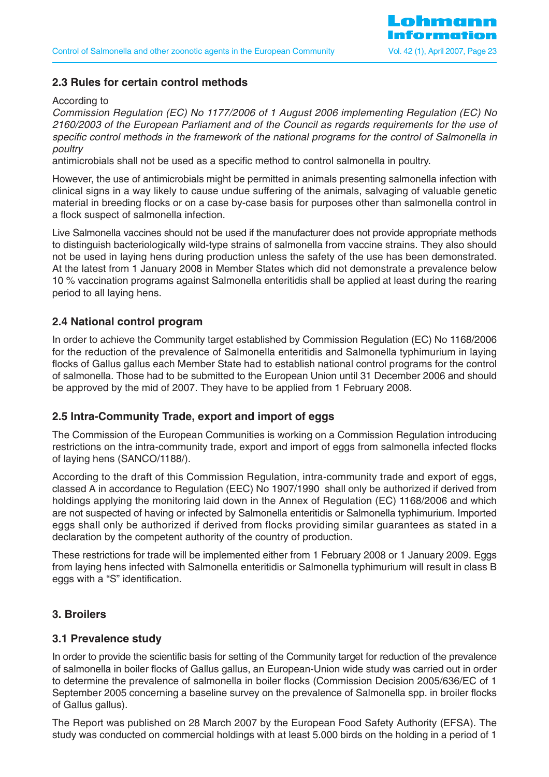## **2.3 Rules for certain control methods**

#### According to

Commission Regulation (EC) No 1177/2006 of 1 August 2006 implementing Regulation (EC) No 2160/2003 of the European Parliament and of the Council as regards requirements for the use of specific control methods in the framework of the national programs for the control of Salmonella in poultry

antimicrobials shall not be used as a specific method to control salmonella in poultry.

However, the use of antimicrobials might be permitted in animals presenting salmonella infection with clinical signs in a way likely to cause undue suffering of the animals, salvaging of valuable genetic material in breeding flocks or on a case by-case basis for purposes other than salmonella control in a flock suspect of salmonella infection.

Live Salmonella vaccines should not be used if the manufacturer does not provide appropriate methods to distinguish bacteriologically wild-type strains of salmonella from vaccine strains. They also should not be used in laying hens during production unless the safety of the use has been demonstrated. At the latest from 1 January 2008 in Member States which did not demonstrate a prevalence below 10 % vaccination programs against Salmonella enteritidis shall be applied at least during the rearing period to all laying hens.

#### **2.4 National control program**

In order to achieve the Community target established by Commission Regulation (EC) No 1168/2006 for the reduction of the prevalence of Salmonella enteritidis and Salmonella typhimurium in laying flocks of Gallus gallus each Member State had to establish national control programs for the control of salmonella. Those had to be submitted to the European Union until 31 December 2006 and should be approved by the mid of 2007. They have to be applied from 1 February 2008.

#### **2.5 Intra-Community Trade, export and import of eggs**

The Commission of the European Communities is working on a Commission Regulation introducing restrictions on the intra-community trade, export and import of eggs from salmonella infected flocks of laying hens (SANCO/1188/).

According to the draft of this Commission Regulation, intra-community trade and export of eggs, classed A in accordance to Regulation (EEC) No 1907/1990 shall only be authorized if derived from holdings applying the monitoring laid down in the Annex of Regulation (EC) 1168/2006 and which are not suspected of having or infected by Salmonella enteritidis or Salmonella typhimurium. Imported eggs shall only be authorized if derived from flocks providing similar guarantees as stated in a declaration by the competent authority of the country of production.

These restrictions for trade will be implemented either from 1 February 2008 or 1 January 2009. Eggs from laying hens infected with Salmonella enteritidis or Salmonella typhimurium will result in class B eggs with a "S" identification.

#### **3. Broilers**

#### **3.1 Prevalence study**

In order to provide the scientific basis for setting of the Community target for reduction of the prevalence of salmonella in boiler flocks of Gallus gallus, an European-Union wide study was carried out in order to determine the prevalence of salmonella in boiler flocks (Commission Decision 2005/636/EC of 1 September 2005 concerning a baseline survey on the prevalence of Salmonella spp. in broiler flocks of Gallus gallus).

The Report was published on 28 March 2007 by the European Food Safety Authority (EFSA). The study was conducted on commercial holdings with at least 5.000 birds on the holding in a period of 1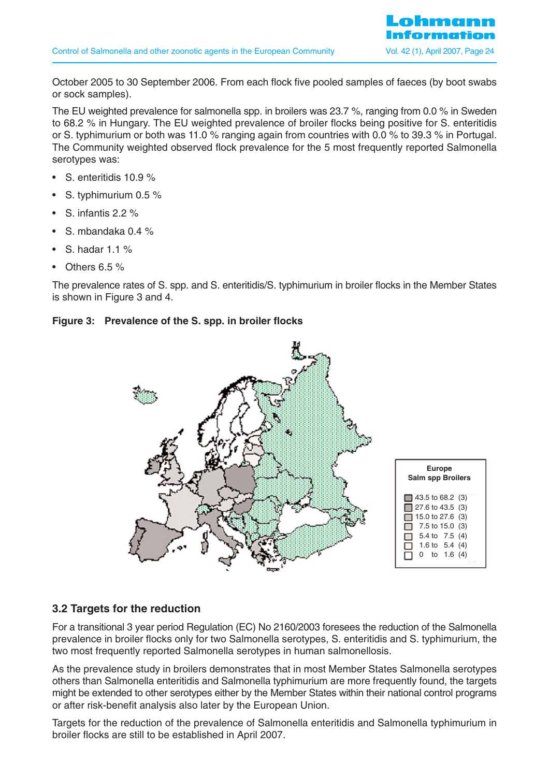October 2005 to 30 September 2006. From each flock five pooled samples of faeces (by boot swabs or sock samples).

The EU weighted prevalence for salmonella spp. in broilers was 23.7 %, ranging from 0.0 % in Sweden to 68.2 % in Hungary. The EU weighted prevalence of broiler flocks being positive for S. enteritidis or S. typhimurium or both was 11.0 % ranging again from countries with 0.0 % to 39.3 % in Portugal. The Community weighted observed flock prevalence for the 5 most frequently reported Salmonella serotypes was:

- S. enteritidis 10.9 %
- S. typhimurium 0.5 %
- S. infantis 2.2 %
- S. mbandaka 0.4 %
- S. hadar  $1.1\%$
- Others 6.5 %

The prevalence rates of S. spp. and S. enteritidis/S. typhimurium in broiler flocks in the Member States is shown in Figure 3 and 4.

#### **Figure 3: Prevalence of the S. spp. in broiler flocks**



## **3.2 Targets for the reduction**

For a transitional 3 year period Regulation (EC) No 2160/2003 foresees the reduction of the Salmonella prevalence in broiler flocks only for two Salmonella serotypes, S. enteritidis and S. typhimurium, the two most frequently reported Salmonella serotypes in human salmonellosis.

As the prevalence study in broilers demonstrates that in most Member States Salmonella serotypes others than Salmonella enteritidis and Salmonella typhimurium are more frequently found, the targets might be extended to other serotypes either by the Member States within their national control programs or after risk-benefit analysis also later by the European Union.

Targets for the reduction of the prevalence of Salmonella enteritidis and Salmonella typhimurium in broiler flocks are still to be established in April 2007.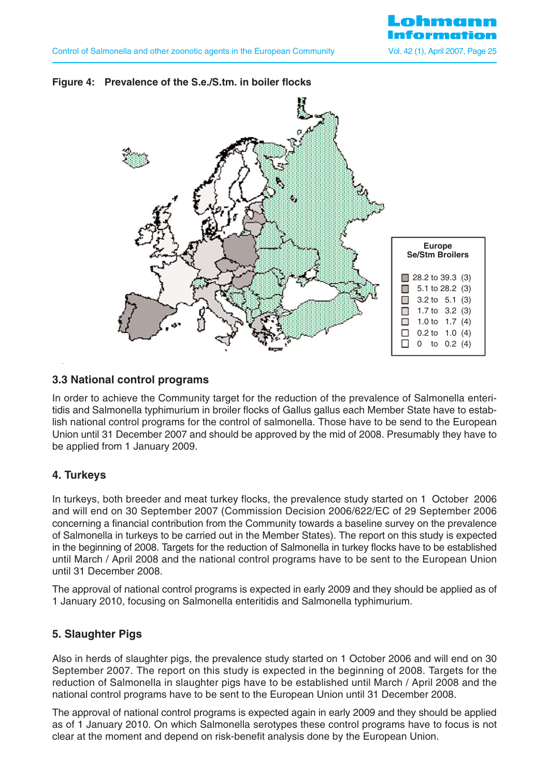

## **Figure 4: Prevalence of the S.e./S.tm. in boiler flocks**

#### **3.3 National control programs**

In order to achieve the Community target for the reduction of the prevalence of Salmonella enteritidis and Salmonella typhimurium in broiler flocks of Gallus gallus each Member State have to establish national control programs for the control of salmonella. Those have to be send to the European Union until 31 December 2007 and should be approved by the mid of 2008. Presumably they have to be applied from 1 January 2009.

#### **4. Turkeys**

In turkeys, both breeder and meat turkey flocks, the prevalence study started on 1 October 2006 and will end on 30 September 2007 (Commission Decision 2006/622/EC of 29 September 2006 concerning a financial contribution from the Community towards a baseline survey on the prevalence of Salmonella in turkeys to be carried out in the Member States). The report on this study is expected in the beginning of 2008. Targets for the reduction of Salmonella in turkey flocks have to be established until March / April 2008 and the national control programs have to be sent to the European Union until 31 December 2008.

The approval of national control programs is expected in early 2009 and they should be applied as of 1 January 2010, focusing on Salmonella enteritidis and Salmonella typhimurium.

## **5. Slaughter Pigs**

Also in herds of slaughter pigs, the prevalence study started on 1 October 2006 and will end on 30 September 2007. The report on this study is expected in the beginning of 2008. Targets for the reduction of Salmonella in slaughter pigs have to be established until March / April 2008 and the national control programs have to be sent to the European Union until 31 December 2008.

The approval of national control programs is expected again in early 2009 and they should be applied as of 1 January 2010. On which Salmonella serotypes these control programs have to focus is not clear at the moment and depend on risk-benefit analysis done by the European Union.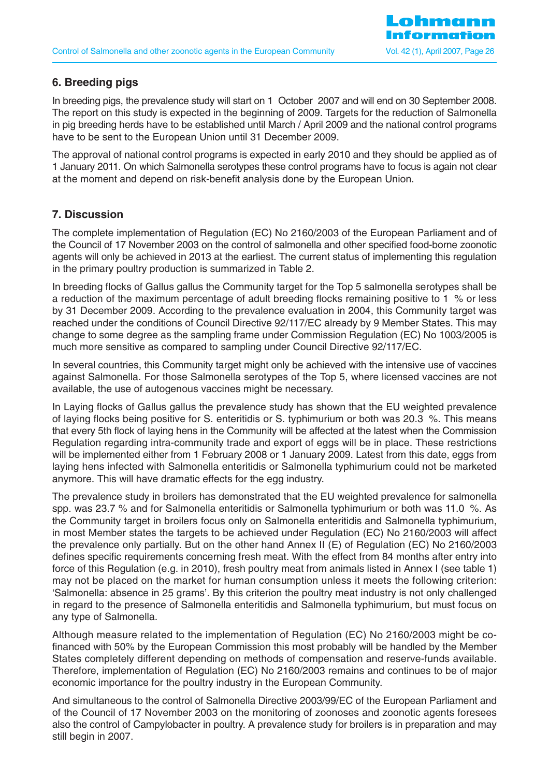## **6. Breeding pigs**

In breeding pigs, the prevalence study will start on 1 October 2007 and will end on 30 September 2008. The report on this study is expected in the beginning of 2009. Targets for the reduction of Salmonella in pig breeding herds have to be established until March / April 2009 and the national control programs have to be sent to the European Union until 31 December 2009.

The approval of national control programs is expected in early 2010 and they should be applied as of 1 January 2011. On which Salmonella serotypes these control programs have to focus is again not clear at the moment and depend on risk-benefit analysis done by the European Union.

## **7. Discussion**

The complete implementation of Regulation (EC) No 2160/2003 of the European Parliament and of the Council of 17 November 2003 on the control of salmonella and other specified food-borne zoonotic agents will only be achieved in 2013 at the earliest. The current status of implementing this regulation in the primary poultry production is summarized in Table 2.

In breeding flocks of Gallus gallus the Community target for the Top 5 salmonella serotypes shall be a reduction of the maximum percentage of adult breeding flocks remaining positive to 1 % or less by 31 December 2009. According to the prevalence evaluation in 2004, this Community target was reached under the conditions of Council Directive 92/117/EC already by 9 Member States. This may change to some degree as the sampling frame under Commission Regulation (EC) No 1003/2005 is much more sensitive as compared to sampling under Council Directive 92/117/EC.

In several countries, this Community target might only be achieved with the intensive use of vaccines against Salmonella. For those Salmonella serotypes of the Top 5, where licensed vaccines are not available, the use of autogenous vaccines might be necessary.

In Laying flocks of Gallus gallus the prevalence study has shown that the EU weighted prevalence of laying flocks being positive for S. enteritidis or S. typhimurium or both was 20.3 %. This means that every 5th flock of laying hens in the Community will be affected at the latest when the Commission Regulation regarding intra-community trade and export of eggs will be in place. These restrictions will be implemented either from 1 February 2008 or 1 January 2009. Latest from this date, eggs from laying hens infected with Salmonella enteritidis or Salmonella typhimurium could not be marketed anymore. This will have dramatic effects for the egg industry.

The prevalence study in broilers has demonstrated that the EU weighted prevalence for salmonella spp. was 23.7 % and for Salmonella enteritidis or Salmonella typhimurium or both was 11.0 %. As the Community target in broilers focus only on Salmonella enteritidis and Salmonella typhimurium, in most Member states the targets to be achieved under Regulation (EC) No 2160/2003 will affect the prevalence only partially. But on the other hand Annex II (E) of Regulation (EC) No 2160/2003 defines specific requirements concerning fresh meat. With the effect from 84 months after entry into force of this Regulation (e.g. in 2010), fresh poultry meat from animals listed in Annex I (see table 1) may not be placed on the market for human consumption unless it meets the following criterion: 'Salmonella: absence in 25 grams'. By this criterion the poultry meat industry is not only challenged in regard to the presence of Salmonella enteritidis and Salmonella typhimurium, but must focus on any type of Salmonella.

Although measure related to the implementation of Regulation (EC) No 2160/2003 might be cofinanced with 50% by the European Commission this most probably will be handled by the Member States completely different depending on methods of compensation and reserve-funds available. Therefore, implementation of Regulation (EC) No 2160/2003 remains and continues to be of major economic importance for the poultry industry in the European Community.

And simultaneous to the control of Salmonella Directive 2003/99/EC of the European Parliament and of the Council of 17 November 2003 on the monitoring of zoonoses and zoonotic agents foresees also the control of Campylobacter in poultry. A prevalence study for broilers is in preparation and may still begin in 2007.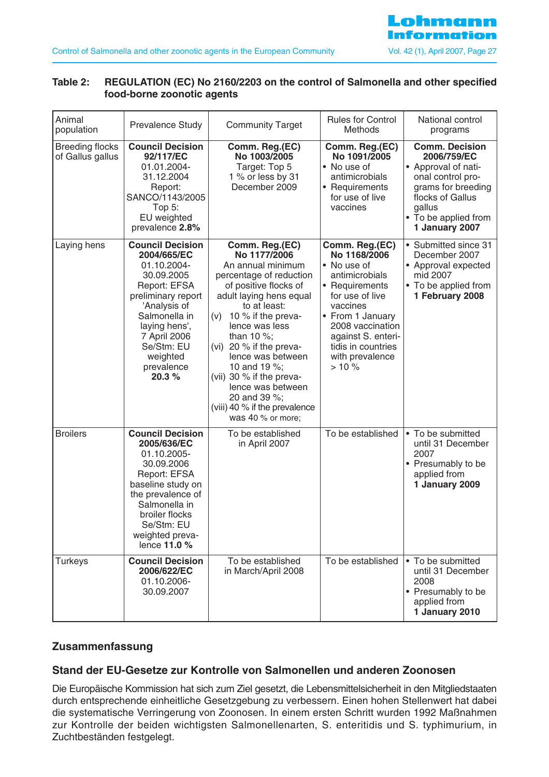

#### **Table 2: REGULATION (EC) No 2160/2203 on the control of Salmonella and other specified food-borne zoonotic agents**

| Animal<br>population                       | Prevalence Study                                                                                                                                                                                                              | <b>Community Target</b>                                                                                                                                                                                                                                                                                                                                                                                    | <b>Rules for Control</b><br>Methods                                                                                                                                                                                             | National control<br>programs                                                                                                                                                   |
|--------------------------------------------|-------------------------------------------------------------------------------------------------------------------------------------------------------------------------------------------------------------------------------|------------------------------------------------------------------------------------------------------------------------------------------------------------------------------------------------------------------------------------------------------------------------------------------------------------------------------------------------------------------------------------------------------------|---------------------------------------------------------------------------------------------------------------------------------------------------------------------------------------------------------------------------------|--------------------------------------------------------------------------------------------------------------------------------------------------------------------------------|
| <b>Breeding flocks</b><br>of Gallus gallus | <b>Council Decision</b><br>92/117/EC<br>01.01.2004-<br>31.12.2004<br>Report:<br>SANCO/1143/2005<br>Top $5:$<br>EU weighted<br>prevalence 2.8%                                                                                 | Comm. Reg.(EC)<br>No 1003/2005<br>Target: Top 5<br>1 % or less by 31<br>December 2009                                                                                                                                                                                                                                                                                                                      | Comm. Reg.(EC)<br>No 1091/2005<br>• No use of<br>antimicrobials<br>• Requirements<br>for use of live<br>vaccines                                                                                                                | <b>Comm. Decision</b><br>2006/759/EC<br>• Approval of nati-<br>onal control pro-<br>grams for breeding<br>flocks of Gallus<br>gallus<br>• To be applied from<br>1 January 2007 |
| Laying hens                                | <b>Council Decision</b><br>2004/665/EC<br>01.10.2004-<br>30.09.2005<br>Report: EFSA<br>preliminary report<br>'Analysis of<br>Salmonella in<br>laying hens',<br>7 April 2006<br>Se/Stm: EU<br>weighted<br>prevalence<br>20.3 % | Comm. Reg.(EC)<br>No 1177/2006<br>An annual minimum<br>percentage of reduction<br>of positive flocks of<br>adult laying hens equal<br>to at least:<br>10 % if the preva-<br>(v)<br>lence was less<br>than 10 $\%$ ;<br>(vi) 20 % if the preva-<br>lence was between<br>10 and 19 %;<br>(vii) 30 % if the preva-<br>lence was between<br>20 and 39 %;<br>(viii) 40 % if the prevalence<br>was 40 % or more; | Comm. Reg.(EC)<br>No 1168/2006<br>• No use of<br>antimicrobials<br>• Requirements<br>for use of live<br>vaccines<br>• From 1 January<br>2008 vaccination<br>against S. enteri-<br>tidis in countries<br>with prevalence<br>>10% | • Submitted since 31<br>December 2007<br>• Approval expected<br>mid 2007<br>• To be applied from<br>1 February 2008                                                            |
| <b>Broilers</b>                            | <b>Council Decision</b><br>2005/636/EC<br>01.10.2005-<br>30.09.2006<br>Report: EFSA<br>baseline study on<br>the prevalence of<br>Salmonella in<br>broiler flocks<br>Se/Stm: EU<br>weighted preva-<br>lence 11.0 %             | To be established<br>in April 2007                                                                                                                                                                                                                                                                                                                                                                         | To be established                                                                                                                                                                                                               | • To be submitted<br>until 31 December<br>2007<br>• Presumably to be<br>applied from<br>1 January 2009                                                                         |
| <b>Turkeys</b>                             | <b>Council Decision</b><br>2006/622/EC<br>01.10.2006-<br>30.09.2007                                                                                                                                                           | To be established<br>in March/April 2008                                                                                                                                                                                                                                                                                                                                                                   | To be established                                                                                                                                                                                                               | • To be submitted<br>until 31 December<br>2008<br>• Presumably to be<br>applied from<br>1 January 2010                                                                         |

## **Zusammenfassung**

#### **Stand der EU-Gesetze zur Kontrolle von Salmonellen und anderen Zoonosen**

Die Europäische Kommission hat sich zum Ziel gesetzt, die Lebensmittelsicherheit in den Mitgliedstaaten durch entsprechende einheitliche Gesetzgebung zu verbessern. Einen hohen Stellenwert hat dabei die systematische Verringerung von Zoonosen. In einem ersten Schritt wurden 1992 Maßnahmen zur Kontrolle der beiden wichtigsten Salmonellenarten, S. enteritidis und S. typhimurium, in Zuchtbeständen festgelegt.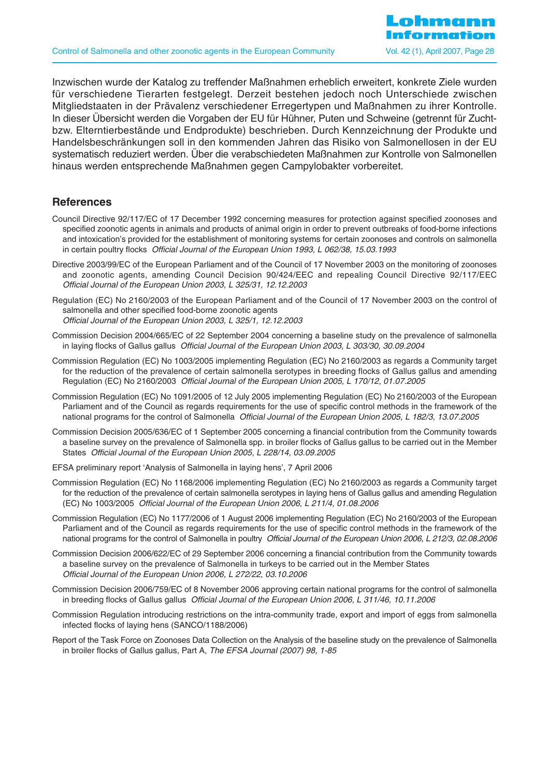Inzwischen wurde der Katalog zu treffender Maßnahmen erheblich erweitert, konkrete Ziele wurden für verschiedene Tierarten festgelegt. Derzeit bestehen jedoch noch Unterschiede zwischen Mitgliedstaaten in der Prävalenz verschiedener Erregertypen und Maßnahmen zu ihrer Kontrolle. In dieser Übersicht werden die Vorgaben der EU für Hühner, Puten und Schweine (getrennt für Zuchtbzw. Elterntierbestände und Endprodukte) beschrieben. Durch Kennzeichnung der Produkte und Handelsbeschränkungen soll in den kommenden Jahren das Risiko von Salmonellosen in der EU systematisch reduziert werden. Über die verabschiedeten Maßnahmen zur Kontrolle von Salmonellen hinaus werden entsprechende Maßnahmen gegen Campylobakter vorbereitet.

#### **References**

- Council Directive 92/117/EC of 17 December 1992 concerning measures for protection against specified zoonoses and specified zoonotic agents in animals and products of animal origin in order to prevent outbreaks of food-borne infections and intoxication's provided for the establishment of monitoring systems for certain zoonoses and controls on salmonella in certain poultry flocks Official Journal of the European Union 1993, L 062/38, 15.03.1993
- Directive 2003/99/EC of the European Parliament and of the Council of 17 November 2003 on the monitoring of zoonoses and zoonotic agents, amending Council Decision 90/424/EEC and repealing Council Directive 92/117/EEC Official Journal of the European Union 2003, L 325/31, 12.12.2003
- Regulation (EC) No 2160/2003 of the European Parliament and of the Council of 17 November 2003 on the control of salmonella and other specified food-borne zoonotic agents Official Journal of the European Union 2003, L 325/1, 12.12.2003
- Commission Decision 2004/665/EC of 22 September 2004 concerning a baseline study on the prevalence of salmonella in laying flocks of Gallus gallus Official Journal of the European Union 2003, L 303/30, 30.09.2004
- Commission Regulation (EC) No 1003/2005 implementing Regulation (EC) No 2160/2003 as regards a Community target for the reduction of the prevalence of certain salmonella serotypes in breeding flocks of Gallus gallus and amending Regulation (EC) No 2160/2003 Official Journal of the European Union 2005, L 170/12, 01.07.2005
- Commission Regulation (EC) No 1091/2005 of 12 July 2005 implementing Regulation (EC) No 2160/2003 of the European Parliament and of the Council as regards requirements for the use of specific control methods in the framework of the national programs for the control of Salmonella Official Journal of the European Union 2005, L 182/3, 13.07.2005
- Commission Decision 2005/636/EC of 1 September 2005 concerning a financial contribution from the Community towards a baseline survey on the prevalence of Salmonella spp. in broiler flocks of Gallus gallus to be carried out in the Member States Official Journal of the European Union 2005, L 228/14, 03.09.2005
- EFSA preliminary report 'Analysis of Salmonella in laying hens', 7 April 2006
- Commission Regulation (EC) No 1168/2006 implementing Regulation (EC) No 2160/2003 as regards a Community target for the reduction of the prevalence of certain salmonella serotypes in laying hens of Gallus gallus and amending Regulation (EC) No 1003/2005 Official Journal of the European Union 2006, L 211/4, 01.08.2006
- Commission Regulation (EC) No 1177/2006 of 1 August 2006 implementing Regulation (EC) No 2160/2003 of the European Parliament and of the Council as regards requirements for the use of specific control methods in the framework of the national programs for the control of Salmonella in poultry Official Journal of the European Union 2006, L 212/3, 02.08.2006
- Commission Decision 2006/622/EC of 29 September 2006 concerning a financial contribution from the Community towards a baseline survey on the prevalence of Salmonella in turkeys to be carried out in the Member States Official Journal of the European Union 2006, L 272/22, 03.10.2006
- Commission Decision 2006/759/EC of 8 November 2006 approving certain national programs for the control of salmonella in breeding flocks of Gallus gallus Official Journal of the European Union 2006, L 311/46, 10.11.2006
- Commission Regulation introducing restrictions on the intra-community trade, export and import of eggs from salmonella infected flocks of laying hens (SANCO/1188/2006)
- Report of the Task Force on Zoonoses Data Collection on the Analysis of the baseline study on the prevalence of Salmonella in broiler flocks of Gallus gallus, Part A, The EFSA Journal (2007) 98, 1-85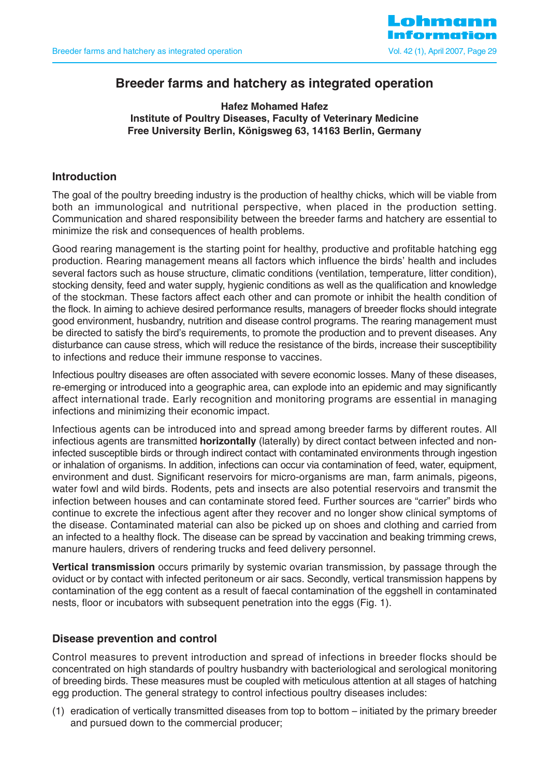

# **Breeder farms and hatchery as integrated operation**

**Hafez Mohamed Hafez Institute of Poultry Diseases, Faculty of Veterinary Medicine Free University Berlin, Königsweg 63, 14163 Berlin, Germany**

## **Introduction**

The goal of the poultry breeding industry is the production of healthy chicks, which will be viable from both an immunological and nutritional perspective, when placed in the production setting. Communication and shared responsibility between the breeder farms and hatchery are essential to minimize the risk and consequences of health problems.

Good rearing management is the starting point for healthy, productive and profitable hatching egg production. Rearing management means all factors which influence the birds' health and includes several factors such as house structure, climatic conditions (ventilation, temperature, litter condition), stocking density, feed and water supply, hygienic conditions as well as the qualification and knowledge of the stockman. These factors affect each other and can promote or inhibit the health condition of the flock. In aiming to achieve desired performance results, managers of breeder flocks should integrate good environment, husbandry, nutrition and disease control programs. The rearing management must be directed to satisfy the bird's requirements, to promote the production and to prevent diseases. Any disturbance can cause stress, which will reduce the resistance of the birds, increase their susceptibility to infections and reduce their immune response to vaccines.

Infectious poultry diseases are often associated with severe economic losses. Many of these diseases, re-emerging or introduced into a geographic area, can explode into an epidemic and may significantly affect international trade. Early recognition and monitoring programs are essential in managing infections and minimizing their economic impact.

Infectious agents can be introduced into and spread among breeder farms by different routes. All infectious agents are transmitted **horizontally** (laterally) by direct contact between infected and noninfected susceptible birds or through indirect contact with contaminated environments through ingestion or inhalation of organisms. In addition, infections can occur via contamination of feed, water, equipment, environment and dust. Significant reservoirs for micro-organisms are man, farm animals, pigeons, water fowl and wild birds. Rodents, pets and insects are also potential reservoirs and transmit the infection between houses and can contaminate stored feed. Further sources are "carrier" birds who continue to excrete the infectious agent after they recover and no longer show clinical symptoms of the disease. Contaminated material can also be picked up on shoes and clothing and carried from an infected to a healthy flock. The disease can be spread by vaccination and beaking trimming crews, manure haulers, drivers of rendering trucks and feed delivery personnel.

**Vertical transmission** occurs primarily by systemic ovarian transmission, by passage through the oviduct or by contact with infected peritoneum or air sacs. Secondly, vertical transmission happens by contamination of the egg content as a result of faecal contamination of the eggshell in contaminated nests, floor or incubators with subsequent penetration into the eggs (Fig. 1).

## **Disease prevention and control**

Control measures to prevent introduction and spread of infections in breeder flocks should be concentrated on high standards of poultry husbandry with bacteriological and serological monitoring of breeding birds. These measures must be coupled with meticulous attention at all stages of hatching egg production. The general strategy to control infectious poultry diseases includes:

(1) eradication of vertically transmitted diseases from top to bottom – initiated by the primary breeder and pursued down to the commercial producer;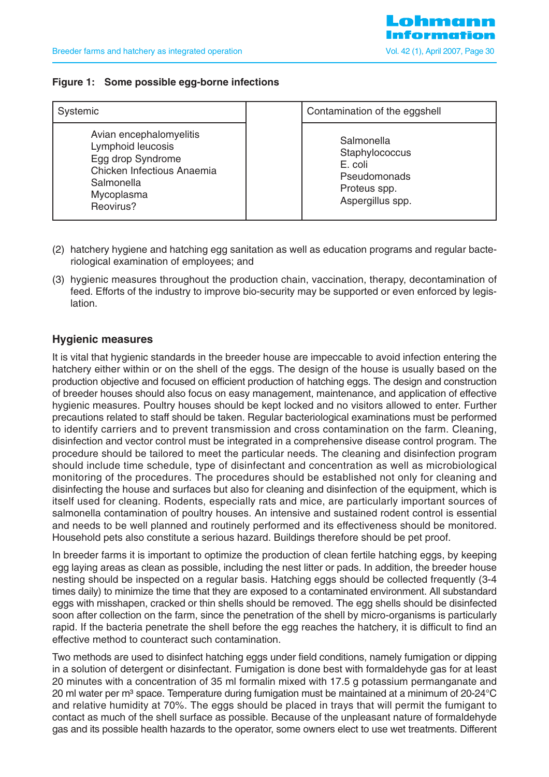#### **Figure 1: Some possible egg-borne infections**

| Systemic                                                                                                                                 | Contamination of the eggshell                                                                      |
|------------------------------------------------------------------------------------------------------------------------------------------|----------------------------------------------------------------------------------------------------|
| Avian encephalomyelitis<br>Lymphoid leucosis<br>Egg drop Syndrome<br>Chicken Infectious Anaemia<br>Salmonella<br>Mycoplasma<br>Reovirus? | Salmonella<br>Staphylococcus<br>E. coli<br><b>Pseudomonads</b><br>Proteus spp.<br>Aspergillus spp. |

- (2) hatchery hygiene and hatching egg sanitation as well as education programs and regular bacteriological examination of employees; and
- (3) hygienic measures throughout the production chain, vaccination, therapy, decontamination of feed. Efforts of the industry to improve bio-security may be supported or even enforced by legislation.

#### **Hygienic measures**

It is vital that hygienic standards in the breeder house are impeccable to avoid infection entering the hatchery either within or on the shell of the eggs. The design of the house is usually based on the production objective and focused on efficient production of hatching eggs. The design and construction of breeder houses should also focus on easy management, maintenance, and application of effective hygienic measures. Poultry houses should be kept locked and no visitors allowed to enter. Further precautions related to staff should be taken. Regular bacteriological examinations must be performed to identify carriers and to prevent transmission and cross contamination on the farm. Cleaning, disinfection and vector control must be integrated in a comprehensive disease control program. The procedure should be tailored to meet the particular needs. The cleaning and disinfection program should include time schedule, type of disinfectant and concentration as well as microbiological monitoring of the procedures. The procedures should be established not only for cleaning and disinfecting the house and surfaces but also for cleaning and disinfection of the equipment, which is itself used for cleaning. Rodents, especially rats and mice, are particularly important sources of salmonella contamination of poultry houses. An intensive and sustained rodent control is essential and needs to be well planned and routinely performed and its effectiveness should be monitored. Household pets also constitute a serious hazard. Buildings therefore should be pet proof.

In breeder farms it is important to optimize the production of clean fertile hatching eggs, by keeping egg laying areas as clean as possible, including the nest litter or pads. In addition, the breeder house nesting should be inspected on a regular basis. Hatching eggs should be collected frequently (3-4 times daily) to minimize the time that they are exposed to a contaminated environment. All substandard eggs with misshapen, cracked or thin shells should be removed. The egg shells should be disinfected soon after collection on the farm, since the penetration of the shell by micro-organisms is particularly rapid. If the bacteria penetrate the shell before the egg reaches the hatchery, it is difficult to find an effective method to counteract such contamination.

Two methods are used to disinfect hatching eggs under field conditions, namely fumigation or dipping in a solution of detergent or disinfectant. Fumigation is done best with formaldehyde gas for at least 20 minutes with a concentration of 35 ml formalin mixed with 17.5 g potassium permanganate and 20 ml water per m<sup>3</sup> space. Temperature during fumigation must be maintained at a minimum of 20-24°C and relative humidity at 70%. The eggs should be placed in trays that will permit the fumigant to contact as much of the shell surface as possible. Because of the unpleasant nature of formaldehyde gas and its possible health hazards to the operator, some owners elect to use wet treatments. Different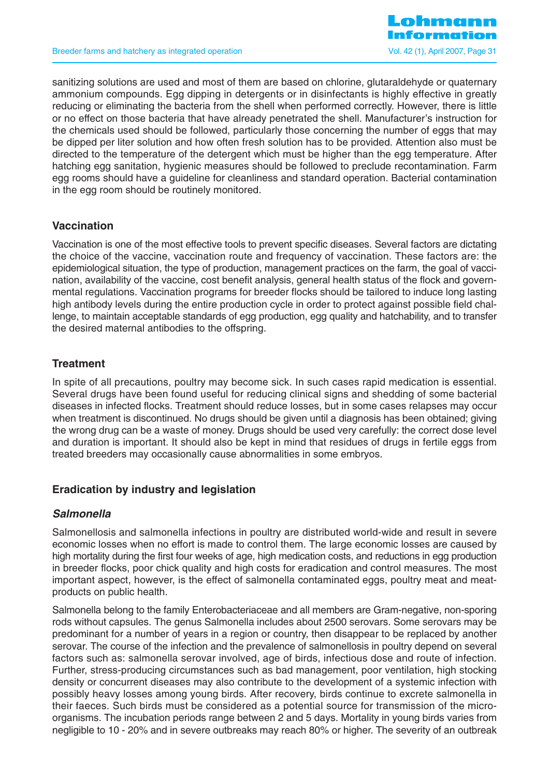

sanitizing solutions are used and most of them are based on chlorine, glutaraldehyde or quaternary ammonium compounds. Egg dipping in detergents or in disinfectants is highly effective in greatly reducing or eliminating the bacteria from the shell when performed correctly. However, there is little or no effect on those bacteria that have already penetrated the shell. Manufacturer's instruction for the chemicals used should be followed, particularly those concerning the number of eggs that may be dipped per liter solution and how often fresh solution has to be provided. Attention also must be directed to the temperature of the detergent which must be higher than the egg temperature. After hatching egg sanitation, hygienic measures should be followed to preclude recontamination. Farm egg rooms should have a guideline for cleanliness and standard operation. Bacterial contamination in the egg room should be routinely monitored.

## **Vaccination**

Vaccination is one of the most effective tools to prevent specific diseases. Several factors are dictating the choice of the vaccine, vaccination route and frequency of vaccination. These factors are: the epidemiological situation, the type of production, management practices on the farm, the goal of vaccination, availability of the vaccine, cost benefit analysis, general health status of the flock and governmental regulations. Vaccination programs for breeder flocks should be tailored to induce long lasting high antibody levels during the entire production cycle in order to protect against possible field challenge, to maintain acceptable standards of egg production, egg quality and hatchability, and to transfer the desired maternal antibodies to the offspring.

## **Treatment**

In spite of all precautions, poultry may become sick. In such cases rapid medication is essential. Several drugs have been found useful for reducing clinical signs and shedding of some bacterial diseases in infected flocks. Treatment should reduce losses, but in some cases relapses may occur when treatment is discontinued. No drugs should be given until a diagnosis has been obtained; giving the wrong drug can be a waste of money. Drugs should be used very carefully: the correct dose level and duration is important. It should also be kept in mind that residues of drugs in fertile eggs from treated breeders may occasionally cause abnormalities in some embryos.

## **Eradication by industry and legislation**

## **Salmonella**

Salmonellosis and salmonella infections in poultry are distributed world-wide and result in severe economic losses when no effort is made to control them. The large economic losses are caused by high mortality during the first four weeks of age, high medication costs, and reductions in egg production in breeder flocks, poor chick quality and high costs for eradication and control measures. The most important aspect, however, is the effect of salmonella contaminated eggs, poultry meat and meatproducts on public health.

Salmonella belong to the family Enterobacteriaceae and all members are Gram-negative, non-sporing rods without capsules. The genus Salmonella includes about 2500 serovars. Some serovars may be predominant for a number of years in a region or country, then disappear to be replaced by another serovar. The course of the infection and the prevalence of salmonellosis in poultry depend on several factors such as: salmonella serovar involved, age of birds, infectious dose and route of infection. Further, stress-producing circumstances such as bad management, poor ventilation, high stocking density or concurrent diseases may also contribute to the development of a systemic infection with possibly heavy losses among young birds. After recovery, birds continue to excrete salmonella in their faeces. Such birds must be considered as a potential source for transmission of the microorganisms. The incubation periods range between 2 and 5 days. Mortality in young birds varies from negligible to 10 - 20% and in severe outbreaks may reach 80% or higher. The severity of an outbreak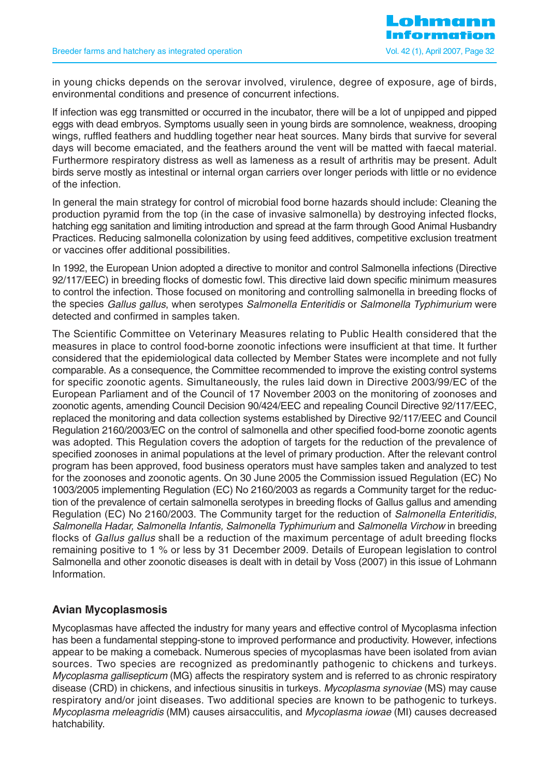in young chicks depends on the serovar involved, virulence, degree of exposure, age of birds, environmental conditions and presence of concurrent infections.

If infection was egg transmitted or occurred in the incubator, there will be a lot of unpipped and pipped eggs with dead embryos. Symptoms usually seen in young birds are somnolence, weakness, drooping wings, ruffled feathers and huddling together near heat sources. Many birds that survive for several days will become emaciated, and the feathers around the vent will be matted with faecal material. Furthermore respiratory distress as well as lameness as a result of arthritis may be present. Adult birds serve mostly as intestinal or internal organ carriers over longer periods with little or no evidence of the infection.

In general the main strategy for control of microbial food borne hazards should include: Cleaning the production pyramid from the top (in the case of invasive salmonella) by destroying infected flocks, hatching egg sanitation and limiting introduction and spread at the farm through Good Animal Husbandry Practices. Reducing salmonella colonization by using feed additives, competitive exclusion treatment or vaccines offer additional possibilities.

In 1992, the European Union adopted a directive to monitor and control Salmonella infections (Directive 92/117/EEC) in breeding flocks of domestic fowl. This directive laid down specific minimum measures to control the infection. Those focused on monitoring and controlling salmonella in breeding flocks of the species Gallus gallus, when serotypes Salmonella Enteritidis or Salmonella Typhimurium were detected and confirmed in samples taken.

The Scientific Committee on Veterinary Measures relating to Public Health considered that the measures in place to control food-borne zoonotic infections were insufficient at that time. It further considered that the epidemiological data collected by Member States were incomplete and not fully comparable. As a consequence, the Committee recommended to improve the existing control systems for specific zoonotic agents. Simultaneously, the rules laid down in Directive 2003/99/EC of the European Parliament and of the Council of 17 November 2003 on the monitoring of zoonoses and zoonotic agents, amending Council Decision 90/424/EEC and repealing Council Directive 92/117/EEC, replaced the monitoring and data collection systems established by Directive 92/117/EEC and Council Regulation 2160/2003/EC on the control of salmonella and other specified food-borne zoonotic agents was adopted. This Regulation covers the adoption of targets for the reduction of the prevalence of specified zoonoses in animal populations at the level of primary production. After the relevant control program has been approved, food business operators must have samples taken and analyzed to test for the zoonoses and zoonotic agents. On 30 June 2005 the Commission issued Regulation (EC) No 1003/2005 implementing Regulation (EC) No 2160/2003 as regards a Community target for the reduction of the prevalence of certain salmonella serotypes in breeding flocks of Gallus gallus and amending Regulation (EC) No 2160/2003. The Community target for the reduction of Salmonella Enteritidis, Salmonella Hadar, Salmonella Infantis, Salmonella Typhimurium and Salmonella Virchow in breeding flocks of Gallus gallus shall be a reduction of the maximum percentage of adult breeding flocks remaining positive to 1 % or less by 31 December 2009. Details of European legislation to control Salmonella and other zoonotic diseases is dealt with in detail by Voss (2007) in this issue of Lohmann Information.

## **Avian Mycoplasmosis**

Mycoplasmas have affected the industry for many years and effective control of Mycoplasma infection has been a fundamental stepping-stone to improved performance and productivity. However, infections appear to be making a comeback. Numerous species of mycoplasmas have been isolated from avian sources. Two species are recognized as predominantly pathogenic to chickens and turkeys. Mycoplasma gallisepticum (MG) affects the respiratory system and is referred to as chronic respiratory disease (CRD) in chickens, and infectious sinusitis in turkeys. Mycoplasma synoviae (MS) may cause respiratory and/or joint diseases. Two additional species are known to be pathogenic to turkeys. Mycoplasma meleagridis (MM) causes airsacculitis, and Mycoplasma iowae (MI) causes decreased hatchability.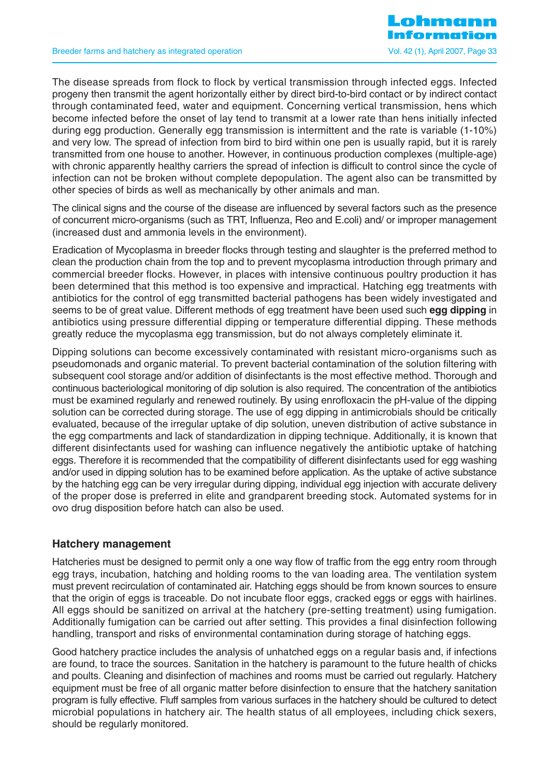The disease spreads from flock to flock by vertical transmission through infected eggs. Infected progeny then transmit the agent horizontally either by direct bird-to-bird contact or by indirect contact through contaminated feed, water and equipment. Concerning vertical transmission, hens which become infected before the onset of lay tend to transmit at a lower rate than hens initially infected during egg production. Generally egg transmission is intermittent and the rate is variable (1-10%) and very low. The spread of infection from bird to bird within one pen is usually rapid, but it is rarely transmitted from one house to another. However, in continuous production complexes (multiple-age) with chronic apparently healthy carriers the spread of infection is difficult to control since the cycle of infection can not be broken without complete depopulation. The agent also can be transmitted by other species of birds as well as mechanically by other animals and man.

The clinical signs and the course of the disease are influenced by several factors such as the presence of concurrent micro-organisms (such as TRT, Influenza, Reo and E.coli) and/ or improper management (increased dust and ammonia levels in the environment).

Eradication of Mycoplasma in breeder flocks through testing and slaughter is the preferred method to clean the production chain from the top and to prevent mycoplasma introduction through primary and commercial breeder flocks. However, in places with intensive continuous poultry production it has been determined that this method is too expensive and impractical. Hatching egg treatments with antibiotics for the control of egg transmitted bacterial pathogens has been widely investigated and seems to be of great value. Different methods of egg treatment have been used such **egg dipping** in antibiotics using pressure differential dipping or temperature differential dipping. These methods greatly reduce the mycoplasma egg transmission, but do not always completely eliminate it.

Dipping solutions can become excessively contaminated with resistant micro-organisms such as pseudomonads and organic material. To prevent bacterial contamination of the solution filtering with subsequent cool storage and/or addition of disinfectants is the most effective method. Thorough and continuous bacteriological monitoring of dip solution is also required. The concentration of the antibiotics must be examined regularly and renewed routinely. By using enrofloxacin the pH-value of the dipping solution can be corrected during storage. The use of egg dipping in antimicrobials should be critically evaluated, because of the irregular uptake of dip solution, uneven distribution of active substance in the egg compartments and lack of standardization in dipping technique. Additionally, it is known that different disinfectants used for washing can influence negatively the antibiotic uptake of hatching eggs. Therefore it is recommended that the compatibility of different disinfectants used for egg washing and/or used in dipping solution has to be examined before application. As the uptake of active substance by the hatching egg can be very irregular during dipping, individual egg injection with accurate delivery of the proper dose is preferred in elite and grandparent breeding stock. Automated systems for in ovo drug disposition before hatch can also be used.

#### **Hatchery management**

Hatcheries must be designed to permit only a one way flow of traffic from the egg entry room through egg trays, incubation, hatching and holding rooms to the van loading area. The ventilation system must prevent recirculation of contaminated air. Hatching eggs should be from known sources to ensure that the origin of eggs is traceable. Do not incubate floor eggs, cracked eggs or eggs with hairlines. All eggs should be sanitized on arrival at the hatchery (pre-setting treatment) using fumigation. Additionally fumigation can be carried out after setting. This provides a final disinfection following handling, transport and risks of environmental contamination during storage of hatching eggs.

Good hatchery practice includes the analysis of unhatched eggs on a regular basis and, if infections are found, to trace the sources. Sanitation in the hatchery is paramount to the future health of chicks and poults. Cleaning and disinfection of machines and rooms must be carried out regularly. Hatchery equipment must be free of all organic matter before disinfection to ensure that the hatchery sanitation program is fully effective. Fluff samples from various surfaces in the hatchery should be cultured to detect microbial populations in hatchery air. The health status of all employees, including chick sexers, should be regularly monitored.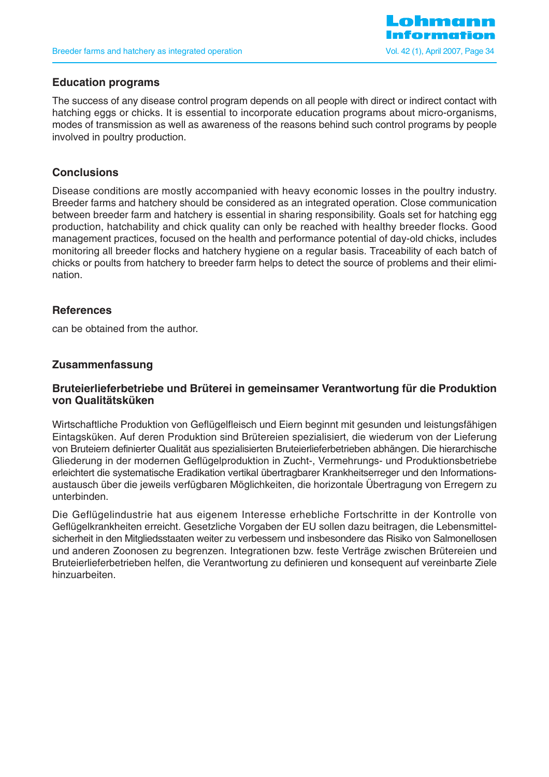

#### **Education programs**

The success of any disease control program depends on all people with direct or indirect contact with hatching eggs or chicks. It is essential to incorporate education programs about micro-organisms, modes of transmission as well as awareness of the reasons behind such control programs by people involved in poultry production.

### **Conclusions**

Disease conditions are mostly accompanied with heavy economic losses in the poultry industry. Breeder farms and hatchery should be considered as an integrated operation. Close communication between breeder farm and hatchery is essential in sharing responsibility. Goals set for hatching egg production, hatchability and chick quality can only be reached with healthy breeder flocks. Good management practices, focused on the health and performance potential of day-old chicks, includes monitoring all breeder flocks and hatchery hygiene on a regular basis. Traceability of each batch of chicks or poults from hatchery to breeder farm helps to detect the source of problems and their elimination.

## **References**

can be obtained from the author.

## **Zusammenfassung**

#### **Bruteierlieferbetriebe und Brüterei in gemeinsamer Verantwortung für die Produktion von Qualitätsküken**

Wirtschaftliche Produktion von Geflügelfleisch und Eiern beginnt mit gesunden und leistungsfähigen Eintagsküken. Auf deren Produktion sind Brütereien spezialisiert, die wiederum von der Lieferung von Bruteiern definierter Qualität aus spezialisierten Bruteierlieferbetrieben abhängen. Die hierarchische Gliederung in der modernen Geflügelproduktion in Zucht-, Vermehrungs- und Produktionsbetriebe erleichtert die systematische Eradikation vertikal übertragbarer Krankheitserreger und den Informationsaustausch über die jeweils verfügbaren Möglichkeiten, die horizontale Übertragung von Erregern zu unterbinden.

Die Geflügelindustrie hat aus eigenem Interesse erhebliche Fortschritte in der Kontrolle von Geflügelkrankheiten erreicht. Gesetzliche Vorgaben der EU sollen dazu beitragen, die Lebensmittelsicherheit in den Mitgliedsstaaten weiter zu verbessern und insbesondere das Risiko von Salmonellosen und anderen Zoonosen zu begrenzen. Integrationen bzw. feste Verträge zwischen Brütereien und Bruteierlieferbetrieben helfen, die Verantwortung zu definieren und konsequent auf vereinbarte Ziele hinzuarbeiten.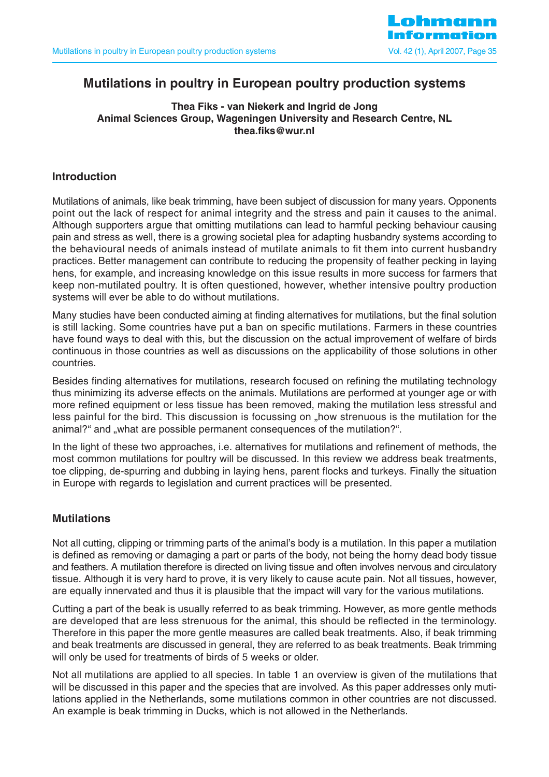

# **Mutilations in poultry in European poultry production systems**

#### **Thea Fiks - van Niekerk and Ingrid de Jong Animal Sciences Group, Wageningen University and Research Centre, NL thea.fiks@wur.nl**

## **Introduction**

Mutilations of animals, like beak trimming, have been subject of discussion for many years. Opponents point out the lack of respect for animal integrity and the stress and pain it causes to the animal. Although supporters argue that omitting mutilations can lead to harmful pecking behaviour causing pain and stress as well, there is a growing societal plea for adapting husbandry systems according to the behavioural needs of animals instead of mutilate animals to fit them into current husbandry practices. Better management can contribute to reducing the propensity of feather pecking in laying hens, for example, and increasing knowledge on this issue results in more success for farmers that keep non-mutilated poultry. It is often questioned, however, whether intensive poultry production systems will ever be able to do without mutilations.

Many studies have been conducted aiming at finding alternatives for mutilations, but the final solution is still lacking. Some countries have put a ban on specific mutilations. Farmers in these countries have found ways to deal with this, but the discussion on the actual improvement of welfare of birds continuous in those countries as well as discussions on the applicability of those solutions in other countries.

Besides finding alternatives for mutilations, research focused on refining the mutilating technology thus minimizing its adverse effects on the animals. Mutilations are performed at younger age or with more refined equipment or less tissue has been removed, making the mutilation less stressful and less painful for the bird. This discussion is focussing on "how strenuous is the mutilation for the animal?" and "what are possible permanent consequences of the mutilation?".

In the light of these two approaches, i.e. alternatives for mutilations and refinement of methods, the most common mutilations for poultry will be discussed. In this review we address beak treatments, toe clipping, de-spurring and dubbing in laying hens, parent flocks and turkeys. Finally the situation in Europe with regards to legislation and current practices will be presented.

## **Mutilations**

Not all cutting, clipping or trimming parts of the animal's body is a mutilation. In this paper a mutilation is defined as removing or damaging a part or parts of the body, not being the horny dead body tissue and feathers. A mutilation therefore is directed on living tissue and often involves nervous and circulatory tissue. Although it is very hard to prove, it is very likely to cause acute pain. Not all tissues, however, are equally innervated and thus it is plausible that the impact will vary for the various mutilations.

Cutting a part of the beak is usually referred to as beak trimming. However, as more gentle methods are developed that are less strenuous for the animal, this should be reflected in the terminology. Therefore in this paper the more gentle measures are called beak treatments. Also, if beak trimming and beak treatments are discussed in general, they are referred to as beak treatments. Beak trimming will only be used for treatments of birds of 5 weeks or older.

Not all mutilations are applied to all species. In table 1 an overview is given of the mutilations that will be discussed in this paper and the species that are involved. As this paper addresses only mutilations applied in the Netherlands, some mutilations common in other countries are not discussed. An example is beak trimming in Ducks, which is not allowed in the Netherlands.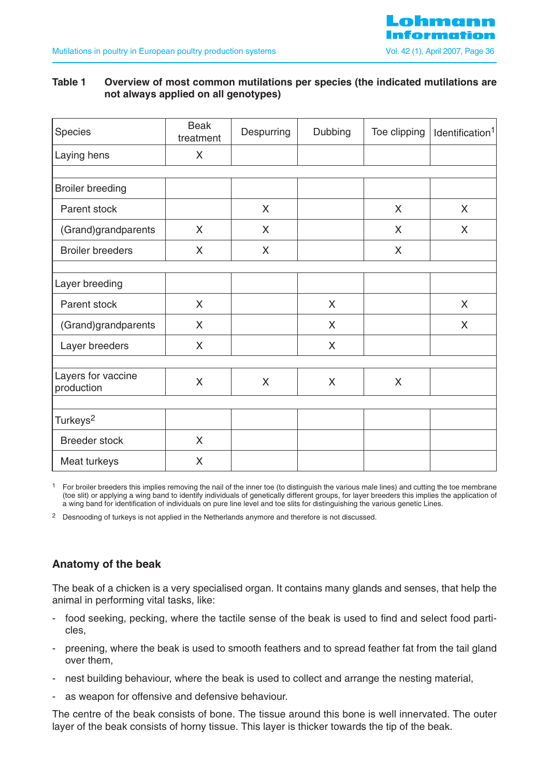

#### **Table 1 Overview of most common mutilations per species (the indicated mutilations are not always applied on all genotypes)**

| Species                          | <b>Beak</b><br>treatment | Despurring | Dubbing | Toe clipping | Identification <sup>1</sup> |
|----------------------------------|--------------------------|------------|---------|--------------|-----------------------------|
| Laying hens                      | X                        |            |         |              |                             |
|                                  |                          |            |         |              |                             |
| <b>Broiler breeding</b>          |                          |            |         |              |                             |
| Parent stock                     |                          | X          |         | X            | $\mathsf{X}$                |
| (Grand)grandparents              | X                        | X          |         | X            | X                           |
| <b>Broiler breeders</b>          | X                        | X          |         | X            |                             |
| Layer breeding                   |                          |            |         |              |                             |
| Parent stock                     | X                        |            | X       |              | X                           |
| (Grand)grandparents              | X                        |            | X       |              | X                           |
| Layer breeders                   | X                        |            | X       |              |                             |
|                                  |                          |            |         |              |                             |
| Layers for vaccine<br>production | X                        | X          | X       | X            |                             |
|                                  |                          |            |         |              |                             |
| Turkeys <sup>2</sup>             |                          |            |         |              |                             |
| <b>Breeder stock</b>             | X                        |            |         |              |                             |
| Meat turkeys                     | X                        |            |         |              |                             |

<sup>1</sup> For broiler breeders this implies removing the nail of the inner toe (to distinguish the various male lines) and cutting the toe membrane (toe slit) or applying a wing band to identify individuals of genetically different groups, for layer breeders this implies the application of a wing band for identification of individuals on pure line level and toe slits for distinguishing the various genetic Lines.

<sup>2</sup> Desnooding of turkeys is not applied in the Netherlands anymore and therefore is not discussed.

## **Anatomy of the beak**

The beak of a chicken is a very specialised organ. It contains many glands and senses, that help the animal in performing vital tasks, like:

- food seeking, pecking, where the tactile sense of the beak is used to find and select food particles,
- preening, where the beak is used to smooth feathers and to spread feather fat from the tail gland over them,
- nest building behaviour, where the beak is used to collect and arrange the nesting material,
- as weapon for offensive and defensive behaviour.

The centre of the beak consists of bone. The tissue around this bone is well innervated. The outer layer of the beak consists of horny tissue. This layer is thicker towards the tip of the beak.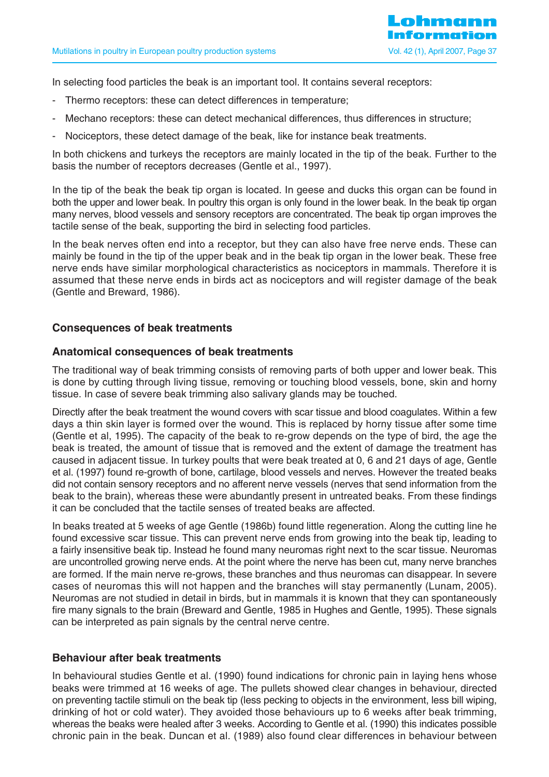In selecting food particles the beak is an important tool. It contains several receptors:

- Thermo receptors: these can detect differences in temperature;
- Mechano receptors: these can detect mechanical differences, thus differences in structure;
- Nociceptors, these detect damage of the beak, like for instance beak treatments.

In both chickens and turkeys the receptors are mainly located in the tip of the beak. Further to the basis the number of receptors decreases (Gentle et al., 1997).

In the tip of the beak the beak tip organ is located. In geese and ducks this organ can be found in both the upper and lower beak. In poultry this organ is only found in the lower beak. In the beak tip organ many nerves, blood vessels and sensory receptors are concentrated. The beak tip organ improves the tactile sense of the beak, supporting the bird in selecting food particles.

In the beak nerves often end into a receptor, but they can also have free nerve ends. These can mainly be found in the tip of the upper beak and in the beak tip organ in the lower beak. These free nerve ends have similar morphological characteristics as nociceptors in mammals. Therefore it is assumed that these nerve ends in birds act as nociceptors and will register damage of the beak (Gentle and Breward, 1986).

## **Consequences of beak treatments**

#### **Anatomical consequences of beak treatments**

The traditional way of beak trimming consists of removing parts of both upper and lower beak. This is done by cutting through living tissue, removing or touching blood vessels, bone, skin and horny tissue. In case of severe beak trimming also salivary glands may be touched.

Directly after the beak treatment the wound covers with scar tissue and blood coagulates. Within a few days a thin skin layer is formed over the wound. This is replaced by horny tissue after some time (Gentle et al, 1995). The capacity of the beak to re-grow depends on the type of bird, the age the beak is treated, the amount of tissue that is removed and the extent of damage the treatment has caused in adjacent tissue. In turkey poults that were beak treated at 0, 6 and 21 days of age, Gentle et al. (1997) found re-growth of bone, cartilage, blood vessels and nerves. However the treated beaks did not contain sensory receptors and no afferent nerve vessels (nerves that send information from the beak to the brain), whereas these were abundantly present in untreated beaks. From these findings it can be concluded that the tactile senses of treated beaks are affected.

In beaks treated at 5 weeks of age Gentle (1986b) found little regeneration. Along the cutting line he found excessive scar tissue. This can prevent nerve ends from growing into the beak tip, leading to a fairly insensitive beak tip. Instead he found many neuromas right next to the scar tissue. Neuromas are uncontrolled growing nerve ends. At the point where the nerve has been cut, many nerve branches are formed. If the main nerve re-grows, these branches and thus neuromas can disappear. In severe cases of neuromas this will not happen and the branches will stay permanently (Lunam, 2005). Neuromas are not studied in detail in birds, but in mammals it is known that they can spontaneously fire many signals to the brain (Breward and Gentle, 1985 in Hughes and Gentle, 1995). These signals can be interpreted as pain signals by the central nerve centre.

#### **Behaviour after beak treatments**

In behavioural studies Gentle et al. (1990) found indications for chronic pain in laying hens whose beaks were trimmed at 16 weeks of age. The pullets showed clear changes in behaviour, directed on preventing tactile stimuli on the beak tip (less pecking to objects in the environment, less bill wiping, drinking of hot or cold water). They avoided those behaviours up to 6 weeks after beak trimming, whereas the beaks were healed after 3 weeks. According to Gentle et al. (1990) this indicates possible chronic pain in the beak. Duncan et al. (1989) also found clear differences in behaviour between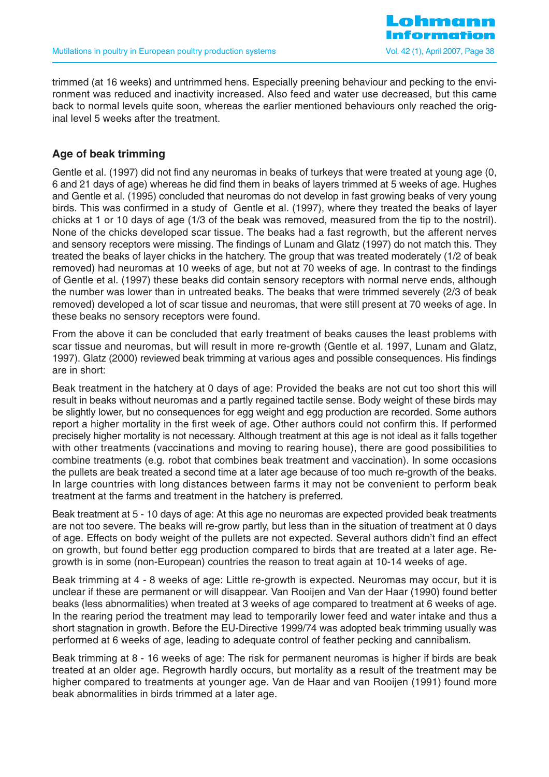trimmed (at 16 weeks) and untrimmed hens. Especially preening behaviour and pecking to the environment was reduced and inactivity increased. Also feed and water use decreased, but this came back to normal levels quite soon, whereas the earlier mentioned behaviours only reached the original level 5 weeks after the treatment.

## **Age of beak trimming**

Gentle et al. (1997) did not find any neuromas in beaks of turkeys that were treated at young age (0, 6 and 21 days of age) whereas he did find them in beaks of layers trimmed at 5 weeks of age. Hughes and Gentle et al. (1995) concluded that neuromas do not develop in fast growing beaks of very young birds. This was confirmed in a study of Gentle et al. (1997), where they treated the beaks of layer chicks at 1 or 10 days of age (1/3 of the beak was removed, measured from the tip to the nostril). None of the chicks developed scar tissue. The beaks had a fast regrowth, but the afferent nerves and sensory receptors were missing. The findings of Lunam and Glatz (1997) do not match this. They treated the beaks of layer chicks in the hatchery. The group that was treated moderately (1/2 of beak removed) had neuromas at 10 weeks of age, but not at 70 weeks of age. In contrast to the findings of Gentle et al. (1997) these beaks did contain sensory receptors with normal nerve ends, although the number was lower than in untreated beaks. The beaks that were trimmed severely (2/3 of beak removed) developed a lot of scar tissue and neuromas, that were still present at 70 weeks of age. In these beaks no sensory receptors were found.

From the above it can be concluded that early treatment of beaks causes the least problems with scar tissue and neuromas, but will result in more re-growth (Gentle et al. 1997, Lunam and Glatz, 1997). Glatz (2000) reviewed beak trimming at various ages and possible consequences. His findings are in short:

Beak treatment in the hatchery at 0 days of age: Provided the beaks are not cut too short this will result in beaks without neuromas and a partly regained tactile sense. Body weight of these birds may be slightly lower, but no consequences for egg weight and egg production are recorded. Some authors report a higher mortality in the first week of age. Other authors could not confirm this. If performed precisely higher mortality is not necessary. Although treatment at this age is not ideal as it falls together with other treatments (vaccinations and moving to rearing house), there are good possibilities to combine treatments (e.g. robot that combines beak treatment and vaccination). In some occasions the pullets are beak treated a second time at a later age because of too much re-growth of the beaks. In large countries with long distances between farms it may not be convenient to perform beak treatment at the farms and treatment in the hatchery is preferred.

Beak treatment at 5 - 10 days of age: At this age no neuromas are expected provided beak treatments are not too severe. The beaks will re-grow partly, but less than in the situation of treatment at 0 days of age. Effects on body weight of the pullets are not expected. Several authors didn't find an effect on growth, but found better egg production compared to birds that are treated at a later age. Regrowth is in some (non-European) countries the reason to treat again at 10-14 weeks of age.

Beak trimming at 4 - 8 weeks of age: Little re-growth is expected. Neuromas may occur, but it is unclear if these are permanent or will disappear. Van Rooijen and Van der Haar (1990) found better beaks (less abnormalities) when treated at 3 weeks of age compared to treatment at 6 weeks of age. In the rearing period the treatment may lead to temporarily lower feed and water intake and thus a short stagnation in growth. Before the EU-Directive 1999/74 was adopted beak trimming usually was performed at 6 weeks of age, leading to adequate control of feather pecking and cannibalism.

Beak trimming at 8 - 16 weeks of age: The risk for permanent neuromas is higher if birds are beak treated at an older age. Regrowth hardly occurs, but mortality as a result of the treatment may be higher compared to treatments at younger age. Van de Haar and van Rooijen (1991) found more beak abnormalities in birds trimmed at a later age.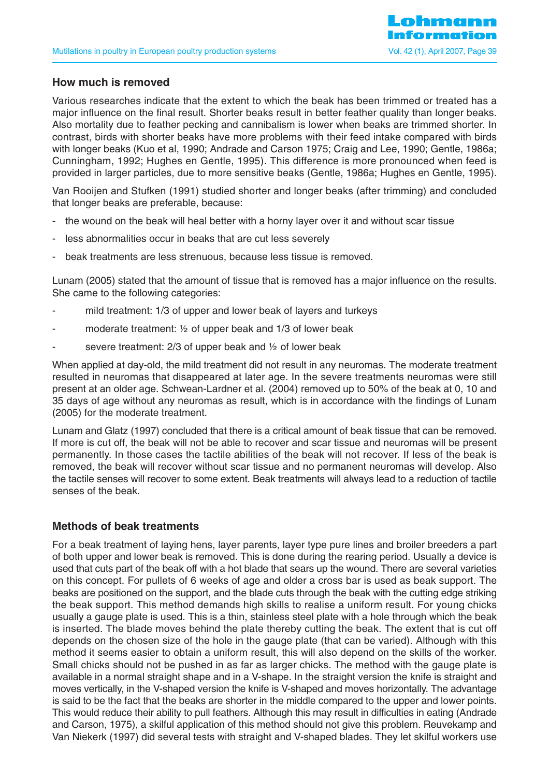### **How much is removed**

Various researches indicate that the extent to which the beak has been trimmed or treated has a major influence on the final result. Shorter beaks result in better feather quality than longer beaks. Also mortality due to feather pecking and cannibalism is lower when beaks are trimmed shorter. In contrast, birds with shorter beaks have more problems with their feed intake compared with birds with longer beaks (Kuo et al, 1990; Andrade and Carson 1975; Craig and Lee, 1990; Gentle, 1986a; Cunningham, 1992; Hughes en Gentle, 1995). This difference is more pronounced when feed is provided in larger particles, due to more sensitive beaks (Gentle, 1986a; Hughes en Gentle, 1995).

Van Rooijen and Stufken (1991) studied shorter and longer beaks (after trimming) and concluded that longer beaks are preferable, because:

- the wound on the beak will heal better with a horny layer over it and without scar tissue
- less abnormalities occur in beaks that are cut less severely
- beak treatments are less strenuous, because less tissue is removed.

Lunam (2005) stated that the amount of tissue that is removed has a major influence on the results. She came to the following categories:

- mild treatment: 1/3 of upper and lower beak of layers and turkeys
- moderate treatment:  $\frac{1}{2}$  of upper beak and 1/3 of lower beak
- severe treatment:  $2/3$  of upper beak and  $\frac{1}{2}$  of lower beak

When applied at day-old, the mild treatment did not result in any neuromas. The moderate treatment resulted in neuromas that disappeared at later age. In the severe treatments neuromas were still present at an older age. Schwean-Lardner et al. (2004) removed up to 50% of the beak at 0, 10 and 35 days of age without any neuromas as result, which is in accordance with the findings of Lunam (2005) for the moderate treatment.

Lunam and Glatz (1997) concluded that there is a critical amount of beak tissue that can be removed. If more is cut off, the beak will not be able to recover and scar tissue and neuromas will be present permanently. In those cases the tactile abilities of the beak will not recover. If less of the beak is removed, the beak will recover without scar tissue and no permanent neuromas will develop. Also the tactile senses will recover to some extent. Beak treatments will always lead to a reduction of tactile senses of the beak.

#### **Methods of beak treatments**

For a beak treatment of laying hens, layer parents, layer type pure lines and broiler breeders a part of both upper and lower beak is removed. This is done during the rearing period. Usually a device is used that cuts part of the beak off with a hot blade that sears up the wound. There are several varieties on this concept. For pullets of 6 weeks of age and older a cross bar is used as beak support. The beaks are positioned on the support, and the blade cuts through the beak with the cutting edge striking the beak support. This method demands high skills to realise a uniform result. For young chicks usually a gauge plate is used. This is a thin, stainless steel plate with a hole through which the beak is inserted. The blade moves behind the plate thereby cutting the beak. The extent that is cut off depends on the chosen size of the hole in the gauge plate (that can be varied). Although with this method it seems easier to obtain a uniform result, this will also depend on the skills of the worker. Small chicks should not be pushed in as far as larger chicks. The method with the gauge plate is available in a normal straight shape and in a V-shape. In the straight version the knife is straight and moves vertically, in the V-shaped version the knife is V-shaped and moves horizontally. The advantage is said to be the fact that the beaks are shorter in the middle compared to the upper and lower points. This would reduce their ability to pull feathers. Although this may result in difficulties in eating (Andrade and Carson, 1975), a skilful application of this method should not give this problem. Reuvekamp and Van Niekerk (1997) did several tests with straight and V-shaped blades. They let skilful workers use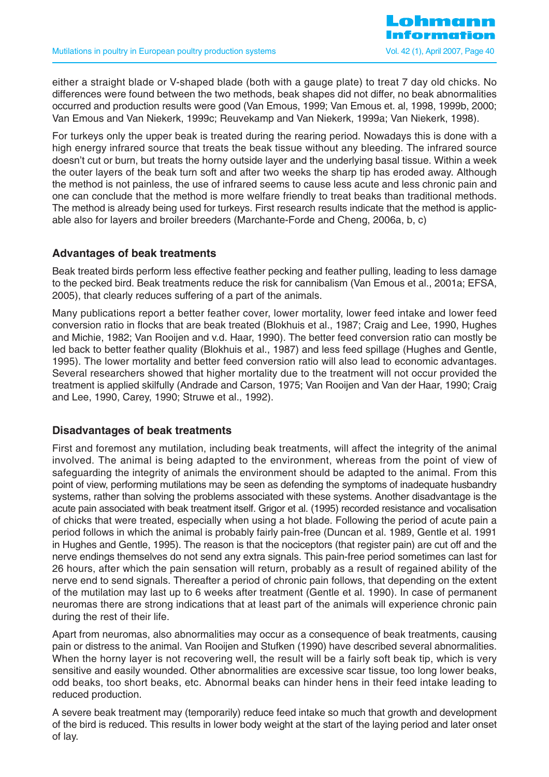either a straight blade or V-shaped blade (both with a gauge plate) to treat 7 day old chicks. No differences were found between the two methods, beak shapes did not differ, no beak abnormalities occurred and production results were good (Van Emous, 1999; Van Emous et. al, 1998, 1999b, 2000; Van Emous and Van Niekerk, 1999c; Reuvekamp and Van Niekerk, 1999a; Van Niekerk, 1998).

For turkeys only the upper beak is treated during the rearing period. Nowadays this is done with a high energy infrared source that treats the beak tissue without any bleeding. The infrared source doesn't cut or burn, but treats the horny outside layer and the underlying basal tissue. Within a week the outer layers of the beak turn soft and after two weeks the sharp tip has eroded away. Although the method is not painless, the use of infrared seems to cause less acute and less chronic pain and one can conclude that the method is more welfare friendly to treat beaks than traditional methods. The method is already being used for turkeys. First research results indicate that the method is applicable also for layers and broiler breeders (Marchante-Forde and Cheng, 2006a, b, c)

## **Advantages of beak treatments**

Beak treated birds perform less effective feather pecking and feather pulling, leading to less damage to the pecked bird. Beak treatments reduce the risk for cannibalism (Van Emous et al., 2001a; EFSA, 2005), that clearly reduces suffering of a part of the animals.

Many publications report a better feather cover, lower mortality, lower feed intake and lower feed conversion ratio in flocks that are beak treated (Blokhuis et al., 1987; Craig and Lee, 1990, Hughes and Michie, 1982; Van Rooijen and v.d. Haar, 1990). The better feed conversion ratio can mostly be led back to better feather quality (Blokhuis et al., 1987) and less feed spillage (Hughes and Gentle, 1995). The lower mortality and better feed conversion ratio will also lead to economic advantages. Several researchers showed that higher mortality due to the treatment will not occur provided the treatment is applied skilfully (Andrade and Carson, 1975; Van Rooijen and Van der Haar, 1990; Craig and Lee, 1990, Carey, 1990; Struwe et al., 1992).

#### **Disadvantages of beak treatments**

First and foremost any mutilation, including beak treatments, will affect the integrity of the animal involved. The animal is being adapted to the environment, whereas from the point of view of safeguarding the integrity of animals the environment should be adapted to the animal. From this point of view, performing mutilations may be seen as defending the symptoms of inadequate husbandry systems, rather than solving the problems associated with these systems. Another disadvantage is the acute pain associated with beak treatment itself. Grigor et al. (1995) recorded resistance and vocalisation of chicks that were treated, especially when using a hot blade. Following the period of acute pain a period follows in which the animal is probably fairly pain-free (Duncan et al. 1989, Gentle et al. 1991 in Hughes and Gentle, 1995). The reason is that the nociceptors (that register pain) are cut off and the nerve endings themselves do not send any extra signals. This pain-free period sometimes can last for 26 hours, after which the pain sensation will return, probably as a result of regained ability of the nerve end to send signals. Thereafter a period of chronic pain follows, that depending on the extent of the mutilation may last up to 6 weeks after treatment (Gentle et al. 1990). In case of permanent neuromas there are strong indications that at least part of the animals will experience chronic pain during the rest of their life.

Apart from neuromas, also abnormalities may occur as a consequence of beak treatments, causing pain or distress to the animal. Van Rooijen and Stufken (1990) have described several abnormalities. When the horny layer is not recovering well, the result will be a fairly soft beak tip, which is very sensitive and easily wounded. Other abnormalities are excessive scar tissue, too long lower beaks, odd beaks, too short beaks, etc. Abnormal beaks can hinder hens in their feed intake leading to reduced production.

A severe beak treatment may (temporarily) reduce feed intake so much that growth and development of the bird is reduced. This results in lower body weight at the start of the laying period and later onset of lay.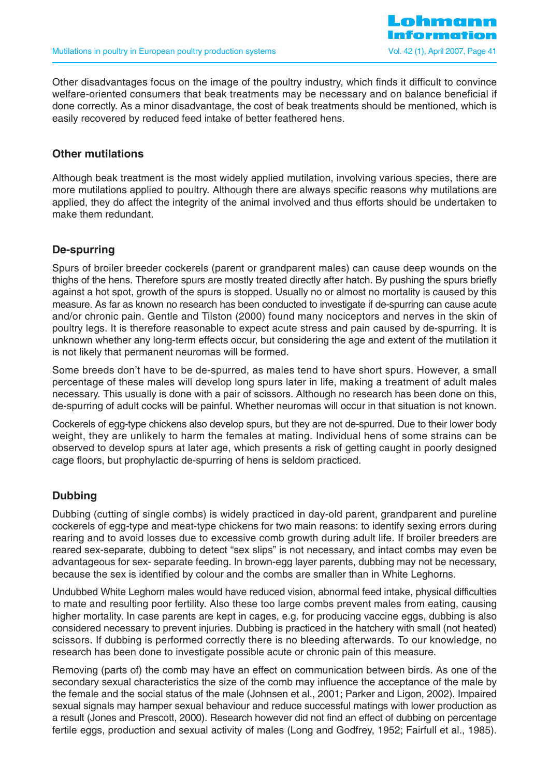

Other disadvantages focus on the image of the poultry industry, which finds it difficult to convince welfare-oriented consumers that beak treatments may be necessary and on balance beneficial if done correctly. As a minor disadvantage, the cost of beak treatments should be mentioned, which is easily recovered by reduced feed intake of better feathered hens.

#### **Other mutilations**

Although beak treatment is the most widely applied mutilation, involving various species, there are more mutilations applied to poultry. Although there are always specific reasons why mutilations are applied, they do affect the integrity of the animal involved and thus efforts should be undertaken to make them redundant.

#### **De-spurring**

Spurs of broiler breeder cockerels (parent or grandparent males) can cause deep wounds on the thighs of the hens. Therefore spurs are mostly treated directly after hatch. By pushing the spurs briefly against a hot spot, growth of the spurs is stopped. Usually no or almost no mortality is caused by this measure. As far as known no research has been conducted to investigate if de-spurring can cause acute and/or chronic pain. Gentle and Tilston (2000) found many nociceptors and nerves in the skin of poultry legs. It is therefore reasonable to expect acute stress and pain caused by de-spurring. It is unknown whether any long-term effects occur, but considering the age and extent of the mutilation it is not likely that permanent neuromas will be formed.

Some breeds don't have to be de-spurred, as males tend to have short spurs. However, a small percentage of these males will develop long spurs later in life, making a treatment of adult males necessary. This usually is done with a pair of scissors. Although no research has been done on this, de-spurring of adult cocks will be painful. Whether neuromas will occur in that situation is not known.

Cockerels of egg-type chickens also develop spurs, but they are not de-spurred. Due to their lower body weight, they are unlikely to harm the females at mating. Individual hens of some strains can be observed to develop spurs at later age, which presents a risk of getting caught in poorly designed cage floors, but prophylactic de-spurring of hens is seldom practiced.

#### **Dubbing**

Dubbing (cutting of single combs) is widely practiced in day-old parent, grandparent and pureline cockerels of egg-type and meat-type chickens for two main reasons: to identify sexing errors during rearing and to avoid losses due to excessive comb growth during adult life. If broiler breeders are reared sex-separate, dubbing to detect "sex slips" is not necessary, and intact combs may even be advantageous for sex- separate feeding. In brown-egg layer parents, dubbing may not be necessary, because the sex is identified by colour and the combs are smaller than in White Leghorns.

Undubbed White Leghorn males would have reduced vision, abnormal feed intake, physical difficulties to mate and resulting poor fertility. Also these too large combs prevent males from eating, causing higher mortality. In case parents are kept in cages, e.g. for producing vaccine eggs, dubbing is also considered necessary to prevent injuries. Dubbing is practiced in the hatchery with small (not heated) scissors. If dubbing is performed correctly there is no bleeding afterwards. To our knowledge, no research has been done to investigate possible acute or chronic pain of this measure.

Removing (parts of) the comb may have an effect on communication between birds. As one of the secondary sexual characteristics the size of the comb may influence the acceptance of the male by the female and the social status of the male (Johnsen et al., 2001; Parker and Ligon, 2002). Impaired sexual signals may hamper sexual behaviour and reduce successful matings with lower production as a result (Jones and Prescott, 2000). Research however did not find an effect of dubbing on percentage fertile eggs, production and sexual activity of males (Long and Godfrey, 1952; Fairfull et al., 1985).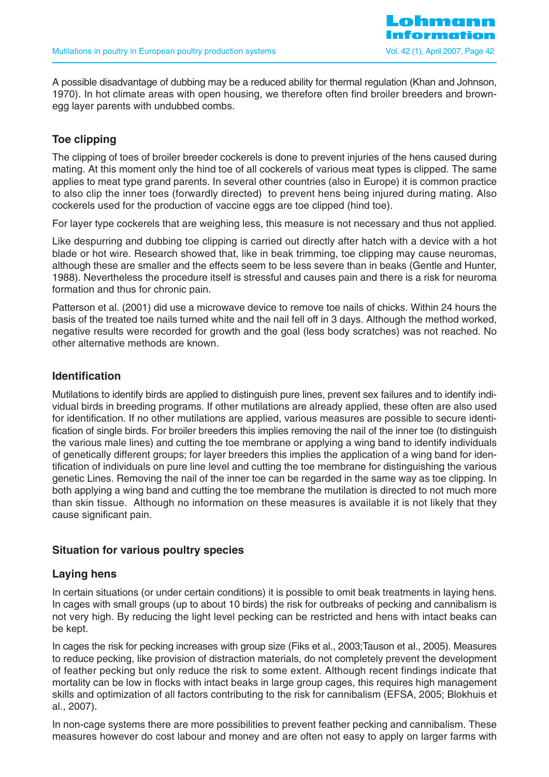A possible disadvantage of dubbing may be a reduced ability for thermal regulation (Khan and Johnson, 1970). In hot climate areas with open housing, we therefore often find broiler breeders and brownegg layer parents with undubbed combs.

## **Toe clipping**

The clipping of toes of broiler breeder cockerels is done to prevent injuries of the hens caused during mating. At this moment only the hind toe of all cockerels of various meat types is clipped. The same applies to meat type grand parents. In several other countries (also in Europe) it is common practice to also clip the inner toes (forwardly directed) to prevent hens being injured during mating. Also cockerels used for the production of vaccine eggs are toe clipped (hind toe).

For layer type cockerels that are weighing less, this measure is not necessary and thus not applied.

Like despurring and dubbing toe clipping is carried out directly after hatch with a device with a hot blade or hot wire. Research showed that, like in beak trimming, toe clipping may cause neuromas, although these are smaller and the effects seem to be less severe than in beaks (Gentle and Hunter, 1988). Nevertheless the procedure itself is stressful and causes pain and there is a risk for neuroma formation and thus for chronic pain.

Patterson et al. (2001) did use a microwave device to remove toe nails of chicks. Within 24 hours the basis of the treated toe nails turned white and the nail fell off in 3 days. Although the method worked, negative results were recorded for growth and the goal (less body scratches) was not reached. No other alternative methods are known.

#### **Identification**

Mutilations to identify birds are applied to distinguish pure lines, prevent sex failures and to identify individual birds in breeding programs. If other mutilations are already applied, these often are also used for identification. If no other mutilations are applied, various measures are possible to secure identification of single birds. For broiler breeders this implies removing the nail of the inner toe (to distinguish the various male lines) and cutting the toe membrane or applying a wing band to identify individuals of genetically different groups; for layer breeders this implies the application of a wing band for identification of individuals on pure line level and cutting the toe membrane for distinguishing the various genetic Lines. Removing the nail of the inner toe can be regarded in the same way as toe clipping. In both applying a wing band and cutting the toe membrane the mutilation is directed to not much more than skin tissue. Although no information on these measures is available it is not likely that they cause significant pain.

## **Situation for various poultry species**

#### **Laying hens**

In certain situations (or under certain conditions) it is possible to omit beak treatments in laying hens. In cages with small groups (up to about 10 birds) the risk for outbreaks of pecking and cannibalism is not very high. By reducing the light level pecking can be restricted and hens with intact beaks can be kept.

In cages the risk for pecking increases with group size (Fiks et al., 2003;Tauson et al., 2005). Measures to reduce pecking, like provision of distraction materials, do not completely prevent the development of feather pecking but only reduce the risk to some extent. Although recent findings indicate that mortality can be low in flocks with intact beaks in large group cages, this requires high management skills and optimization of all factors contributing to the risk for cannibalism (EFSA, 2005; Blokhuis et al., 2007).

In non-cage systems there are more possibilities to prevent feather pecking and cannibalism. These measures however do cost labour and money and are often not easy to apply on larger farms with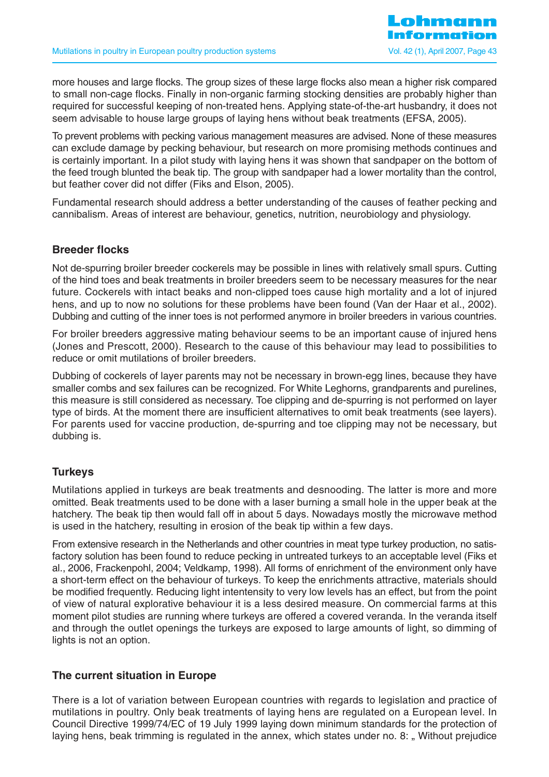more houses and large flocks. The group sizes of these large flocks also mean a higher risk compared to small non-cage flocks. Finally in non-organic farming stocking densities are probably higher than required for successful keeping of non-treated hens. Applying state-of-the-art husbandry, it does not seem advisable to house large groups of laying hens without beak treatments (EFSA, 2005).

To prevent problems with pecking various management measures are advised. None of these measures can exclude damage by pecking behaviour, but research on more promising methods continues and is certainly important. In a pilot study with laying hens it was shown that sandpaper on the bottom of the feed trough blunted the beak tip. The group with sandpaper had a lower mortality than the control, but feather cover did not differ (Fiks and Elson, 2005).

Fundamental research should address a better understanding of the causes of feather pecking and cannibalism. Areas of interest are behaviour, genetics, nutrition, neurobiology and physiology.

## **Breeder flocks**

Not de-spurring broiler breeder cockerels may be possible in lines with relatively small spurs. Cutting of the hind toes and beak treatments in broiler breeders seem to be necessary measures for the near future. Cockerels with intact beaks and non-clipped toes cause high mortality and a lot of injured hens, and up to now no solutions for these problems have been found (Van der Haar et al., 2002). Dubbing and cutting of the inner toes is not performed anymore in broiler breeders in various countries.

For broiler breeders aggressive mating behaviour seems to be an important cause of injured hens (Jones and Prescott, 2000). Research to the cause of this behaviour may lead to possibilities to reduce or omit mutilations of broiler breeders.

Dubbing of cockerels of layer parents may not be necessary in brown-egg lines, because they have smaller combs and sex failures can be recognized. For White Leghorns, grandparents and purelines, this measure is still considered as necessary. Toe clipping and de-spurring is not performed on layer type of birds. At the moment there are insufficient alternatives to omit beak treatments (see layers). For parents used for vaccine production, de-spurring and toe clipping may not be necessary, but dubbing is.

## **Turkeys**

Mutilations applied in turkeys are beak treatments and desnooding. The latter is more and more omitted. Beak treatments used to be done with a laser burning a small hole in the upper beak at the hatchery. The beak tip then would fall off in about 5 days. Nowadays mostly the microwave method is used in the hatchery, resulting in erosion of the beak tip within a few days.

From extensive research in the Netherlands and other countries in meat type turkey production, no satisfactory solution has been found to reduce pecking in untreated turkeys to an acceptable level (Fiks et al., 2006, Frackenpohl, 2004; Veldkamp, 1998). All forms of enrichment of the environment only have a short-term effect on the behaviour of turkeys. To keep the enrichments attractive, materials should be modified frequently. Reducing light intentensity to very low levels has an effect, but from the point of view of natural explorative behaviour it is a less desired measure. On commercial farms at this moment pilot studies are running where turkeys are offered a covered veranda. In the veranda itself and through the outlet openings the turkeys are exposed to large amounts of light, so dimming of lights is not an option.

## **The current situation in Europe**

There is a lot of variation between European countries with regards to legislation and practice of mutilations in poultry. Only beak treatments of laying hens are regulated on a European level. In Council Directive 1999/74/EC of 19 July 1999 laying down minimum standards for the protection of laying hens, beak trimming is regulated in the annex, which states under no. 8: . Without prejudice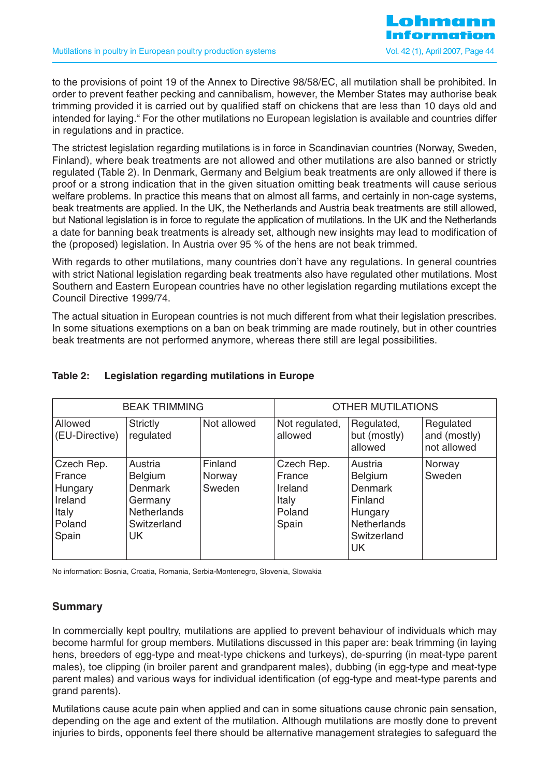to the provisions of point 19 of the Annex to Directive 98/58/EC, all mutilation shall be prohibited. In order to prevent feather pecking and cannibalism, however, the Member States may authorise beak trimming provided it is carried out by qualified staff on chickens that are less than 10 days old and intended for laying." For the other mutilations no European legislation is available and countries differ in regulations and in practice.

The strictest legislation regarding mutilations is in force in Scandinavian countries (Norway, Sweden, Finland), where beak treatments are not allowed and other mutilations are also banned or strictly regulated (Table 2). In Denmark, Germany and Belgium beak treatments are only allowed if there is proof or a strong indication that in the given situation omitting beak treatments will cause serious welfare problems. In practice this means that on almost all farms, and certainly in non-cage systems, beak treatments are applied. In the UK, the Netherlands and Austria beak treatments are still allowed, but National legislation is in force to regulate the application of mutilations. In the UK and the Netherlands a date for banning beak treatments is already set, although new insights may lead to modification of the (proposed) legislation. In Austria over 95 % of the hens are not beak trimmed.

With regards to other mutilations, many countries don't have any regulations. In general countries with strict National legislation regarding beak treatments also have regulated other mutilations. Most Southern and Eastern European countries have no other legislation regarding mutilations except the Council Directive 1999/74.

The actual situation in European countries is not much different from what their legislation prescribes. In some situations exemptions on a ban on beak trimming are made routinely, but in other countries beak treatments are not performed anymore, whereas there still are legal possibilities.

| <b>BEAK TRIMMING</b>                                                   |                                                                                                          |                             | <b>OTHER MUTILATIONS</b>                                    |                                                                                                               |                                          |  |
|------------------------------------------------------------------------|----------------------------------------------------------------------------------------------------------|-----------------------------|-------------------------------------------------------------|---------------------------------------------------------------------------------------------------------------|------------------------------------------|--|
| Allowed<br>(EU-Directive)                                              | <b>Strictly</b><br>regulated                                                                             | Not allowed                 | Not regulated,<br>allowed                                   | Regulated,<br>but (mostly)<br>allowed                                                                         | Regulated<br>and (mostly)<br>not allowed |  |
| Czech Rep.<br>France<br>Hungary<br>Ireland<br>Italy<br>Poland<br>Spain | Austria<br><b>Belgium</b><br><b>Denmark</b><br>Germany<br><b>Netherlands</b><br>Switzerland<br><b>UK</b> | Finland<br>Norway<br>Sweden | Czech Rep.<br>France<br>Ireland<br>Italy<br>Poland<br>Spain | Austria<br><b>Belgium</b><br><b>Denmark</b><br>Finland<br>Hungary<br><b>Netherlands</b><br>Switzerland<br>UK. | Norway<br>Sweden                         |  |

## **Table 2: Legislation regarding mutilations in Europe**

No information: Bosnia, Croatia, Romania, Serbia-Montenegro, Slovenia, Slowakia

#### **Summary**

In commercially kept poultry, mutilations are applied to prevent behaviour of individuals which may become harmful for group members. Mutilations discussed in this paper are: beak trimming (in laying hens, breeders of egg-type and meat-type chickens and turkeys), de-spurring (in meat-type parent males), toe clipping (in broiler parent and grandparent males), dubbing (in egg-type and meat-type parent males) and various ways for individual identification (of egg-type and meat-type parents and grand parents).

Mutilations cause acute pain when applied and can in some situations cause chronic pain sensation, depending on the age and extent of the mutilation. Although mutilations are mostly done to prevent injuries to birds, opponents feel there should be alternative management strategies to safeguard the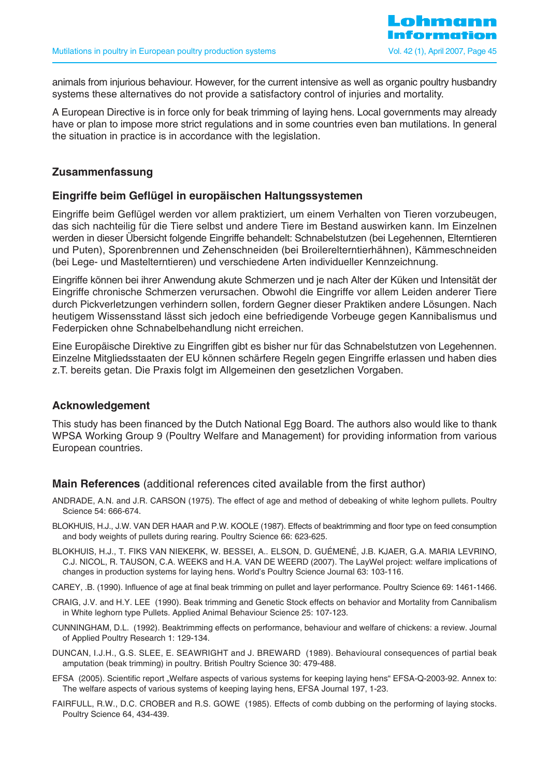animals from injurious behaviour. However, for the current intensive as well as organic poultry husbandry systems these alternatives do not provide a satisfactory control of injuries and mortality.

A European Directive is in force only for beak trimming of laying hens. Local governments may already have or plan to impose more strict regulations and in some countries even ban mutilations. In general the situation in practice is in accordance with the legislation.

### **Zusammenfassung**

#### **Eingriffe beim Geflügel in europäischen Haltungssystemen**

Eingriffe beim Geflügel werden vor allem praktiziert, um einem Verhalten von Tieren vorzubeugen, das sich nachteilig für die Tiere selbst und andere Tiere im Bestand auswirken kann. Im Einzelnen werden in dieser Übersicht folgende Eingriffe behandelt: Schnabelstutzen (bei Legehennen, Elterntieren und Puten), Sporenbrennen und Zehenschneiden (bei Broilerelterntierhähnen), Kämmeschneiden (bei Lege- und Mastelterntieren) und verschiedene Arten individueller Kennzeichnung.

Eingriffe können bei ihrer Anwendung akute Schmerzen und je nach Alter der Küken und Intensität der Eingriffe chronische Schmerzen verursachen. Obwohl die Eingriffe vor allem Leiden anderer Tiere durch Pickverletzungen verhindern sollen, fordern Gegner dieser Praktiken andere Lösungen. Nach heutigem Wissensstand lässt sich jedoch eine befriedigende Vorbeuge gegen Kannibalismus und Federpicken ohne Schnabelbehandlung nicht erreichen.

Eine Europäische Direktive zu Eingriffen gibt es bisher nur für das Schnabelstutzen von Legehennen. Einzelne Mitgliedsstaaten der EU können schärfere Regeln gegen Eingriffe erlassen und haben dies z.T. bereits getan. Die Praxis folgt im Allgemeinen den gesetzlichen Vorgaben.

#### **Acknowledgement**

This study has been financed by the Dutch National Egg Board. The authors also would like to thank WPSA Working Group 9 (Poultry Welfare and Management) for providing information from various European countries.

#### **Main References** (additional references cited available from the first author)

- ANDRADE, A.N. and J.R. CARSON (1975). The effect of age and method of debeaking of white leghorn pullets. Poultry Science 54: 666-674.
- BLOKHUIS, H.J., J.W. VAN DER HAAR and P.W. KOOLE (1987). Effects of beaktrimming and floor type on feed consumption and body weights of pullets during rearing. Poultry Science 66: 623-625.
- BLOKHUIS, H.J., T. FIKS VAN NIEKERK, W. BESSEI, A.. ELSON, D. GUÉMENÉ, J.B. KJAER, G.A. MARIA LEVRINO, C.J. NICOL, R. TAUSON, C.A. WEEKS and H.A. VAN DE WEERD (2007). The LayWel project: welfare implications of changes in production systems for laying hens. World's Poultry Science Journal 63: 103-116.
- CAREY, .B. (1990). Influence of age at final beak trimming on pullet and layer performance. Poultry Science 69: 1461-1466.
- CRAIG, J.V. and H.Y. LEE (1990). Beak trimming and Genetic Stock effects on behavior and Mortality from Cannibalism in White leghorn type Pullets. Applied Animal Behaviour Science 25: 107-123.
- CUNNINGHAM, D.L. (1992). Beaktrimming effects on performance, behaviour and welfare of chickens: a review. Journal of Applied Poultry Research 1: 129-134.
- DUNCAN, I.J.H., G.S. SLEE, E. SEAWRIGHT and J. BREWARD (1989). Behavioural consequences of partial beak amputation (beak trimming) in poultry. British Poultry Science 30: 479-488.
- EFSA (2005). Scientific report "Welfare aspects of various systems for keeping laying hens" EFSA-Q-2003-92. Annex to: The welfare aspects of various systems of keeping laying hens, EFSA Journal 197, 1-23.
- FAIRFULL, R.W., D.C. CROBER and R.S. GOWE (1985). Effects of comb dubbing on the performing of laying stocks. Poultry Science 64, 434-439.